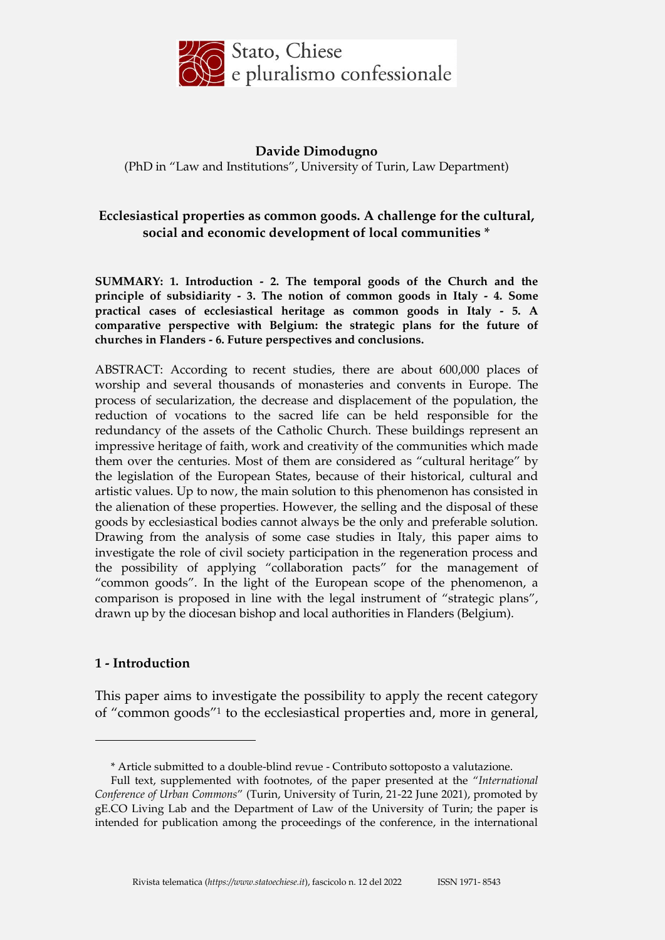

# **Davide Dimodugno** (PhD in "Law and Institutions", University of Turin, Law Department)

# **Ecclesiastical properties as common goods. A challenge for the cultural, social and economic development of local communities \***

**SUMMARY: 1. Introduction - 2. The temporal goods of the Church and the principle of subsidiarity - 3. The notion of common goods in Italy - 4. Some practical cases of ecclesiastical heritage as common goods in Italy - 5. A comparative perspective with Belgium: the strategic plans for the future of churches in Flanders - 6. Future perspectives and conclusions.**

ABSTRACT: According to recent studies, there are about 600,000 places of worship and several thousands of monasteries and convents in Europe. The process of secularization, the decrease and displacement of the population, the reduction of vocations to the sacred life can be held responsible for the redundancy of the assets of the Catholic Church. These buildings represent an impressive heritage of faith, work and creativity of the communities which made them over the centuries. Most of them are considered as "cultural heritage" by the legislation of the European States, because of their historical, cultural and artistic values. Up to now, the main solution to this phenomenon has consisted in the alienation of these properties. However, the selling and the disposal of these goods by ecclesiastical bodies cannot always be the only and preferable solution. Drawing from the analysis of some case studies in Italy, this paper aims to investigate the role of civil society participation in the regeneration process and the possibility of applying "collaboration pacts" for the management of "common goods". In the light of the European scope of the phenomenon, a comparison is proposed in line with the legal instrument of "strategic plans", drawn up by the diocesan bishop and local authorities in Flanders (Belgium).

#### **1 - Introduction**

<u>.</u>

This paper aims to investigate the possibility to apply the recent category of "common goods"<sup>1</sup> to the ecclesiastical properties and, more in general,

<sup>\*</sup> Article submitted to a double-blind revue - Contributo sottoposto a valutazione.

Full text, supplemented with footnotes, of the paper presented at the "*International Conference of Urban Commons*" (Turin, University of Turin, 21-22 June 2021), promoted by gE.CO Living Lab and the Department of Law of the University of Turin; the paper is intended for publication among the proceedings of the conference, in the international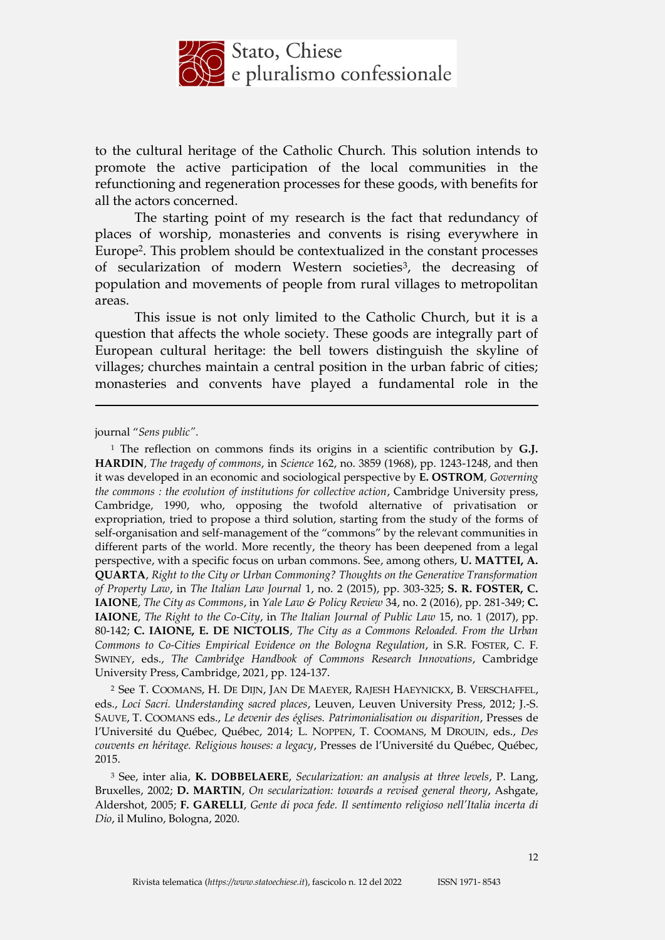

to the cultural heritage of the Catholic Church. This solution intends to promote the active participation of the local communities in the refunctioning and regeneration processes for these goods, with benefits for all the actors concerned.

The starting point of my research is the fact that redundancy of places of worship, monasteries and convents is rising everywhere in Europe2. This problem should be contextualized in the constant processes of secularization of modern Western societies<sup>3</sup>, the decreasing of population and movements of people from rural villages to metropolitan areas.

This issue is not only limited to the Catholic Church, but it is a question that affects the whole society. These goods are integrally part of European cultural heritage: the bell towers distinguish the skyline of villages; churches maintain a central position in the urban fabric of cities; monasteries and convents have played a fundamental role in the

journal "*Sens public"*.

<u>.</u>

<sup>1</sup> The reflection on commons finds its origins in a scientific contribution by **G.J. HARDIN**, *The tragedy of commons*, in *Science* 162, no. 3859 (1968), pp. 1243-1248, and then it was developed in an economic and sociological perspective by **E. OSTROM**, *Governing the commons : the evolution of institutions for collective action*, Cambridge University press, Cambridge, 1990, who, opposing the twofold alternative of privatisation or expropriation, tried to propose a third solution, starting from the study of the forms of self-organisation and self-management of the "commons" by the relevant communities in different parts of the world. More recently, the theory has been deepened from a legal perspective, with a specific focus on urban commons. See, among others, **U. MATTEI, A. QUARTA**, *Right to the City or Urban Commoning? Thoughts on the Generative Transformation of Property Law*, in *The Italian Law Journal* 1, no. 2 (2015), pp. 303-325; **S. R. FOSTER, C. IAIONE**, *The City as Commons*, in *Yale Law & Policy Review* 34, no. 2 (2016), pp. 281-349; **C. IAIONE**, *The Right to the Co-City*, in *The Italian Journal of Public Law* 15, no. 1 (2017), pp. 80-142; **C. IAIONE, E. DE NICTOLIS**, *The City as a Commons Reloaded. From the Urban Commons to Co-Cities Empirical Evidence on the Bologna Regulation*, in S.R. FOSTER, C. F. SWINEY, eds., *The Cambridge Handbook of Commons Research Innovations*, Cambridge University Press, Cambridge, 2021, pp. 124-137.

<sup>2</sup> See T. COOMANS, H. DE DIJN, JAN DE MAEYER, RAJESH HAEYNICKX, B. VERSCHAFFEL, eds., *Loci Sacri. Understanding sacred places*, Leuven, Leuven University Press, 2012; J.-S. SAUVE, T. COOMANS eds., *Le devenir des églises. Patrimonialisation ou disparition*, Presses de l'Université du Québec, Québec, 2014; L. NOPPEN, T. COOMANS, M DROUIN, eds., *Des couvents en héritage. Religious houses: a legacy*, Presses de l'Université du Québec, Québec, 2015.

<sup>3</sup> See, inter alia, **K. DOBBELAERE**, *Secularization: an analysis at three levels*, P. Lang, Bruxelles, 2002; **D. MARTIN**, *On secularization: towards a revised general theory*, Ashgate, Aldershot, 2005; **F. GARELLI**, *Gente di poca fede. Il sentimento religioso nell'Italia incerta di Dio*, il Mulino, Bologna, 2020.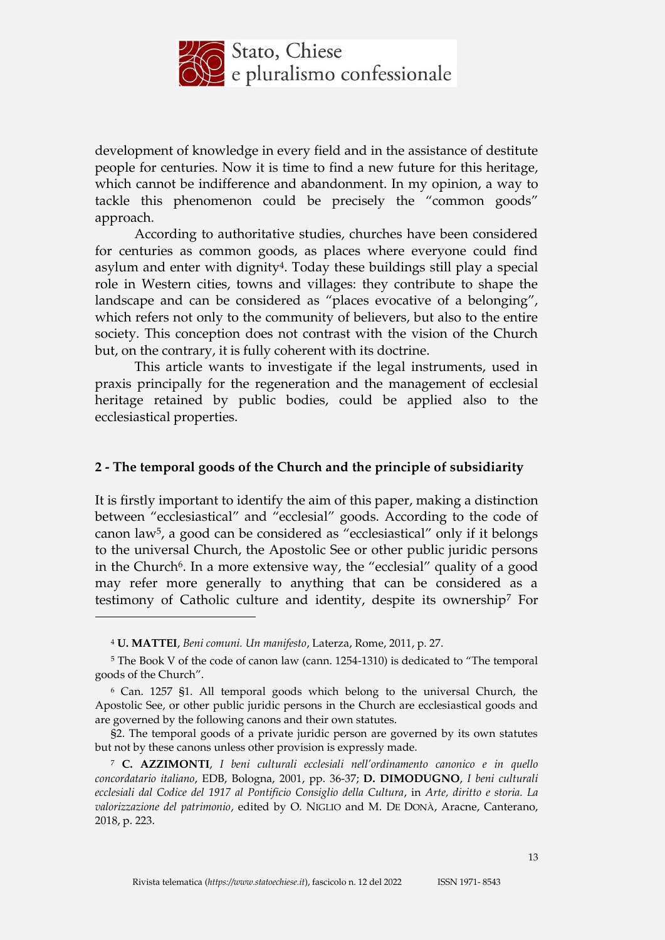

development of knowledge in every field and in the assistance of destitute people for centuries. Now it is time to find a new future for this heritage, which cannot be indifference and abandonment. In my opinion, a way to tackle this phenomenon could be precisely the "common goods" approach.

According to authoritative studies, churches have been considered for centuries as common goods, as places where everyone could find asylum and enter with dignity<sup>4</sup>. Today these buildings still play a special role in Western cities, towns and villages: they contribute to shape the landscape and can be considered as "places evocative of a belonging", which refers not only to the community of believers, but also to the entire society. This conception does not contrast with the vision of the Church but, on the contrary, it is fully coherent with its doctrine.

This article wants to investigate if the legal instruments, used in praxis principally for the regeneration and the management of ecclesial heritage retained by public bodies, could be applied also to the ecclesiastical properties.

### **2 - The temporal goods of the Church and the principle of subsidiarity**

It is firstly important to identify the aim of this paper, making a distinction between "ecclesiastical" and "ecclesial" goods. According to the code of canon law5, a good can be considered as "ecclesiastical" only if it belongs to the universal Church, the Apostolic See or other public juridic persons in the Church<sup>6</sup>. In a more extensive way, the "ecclesial" quality of a good may refer more generally to anything that can be considered as a testimony of Catholic culture and identity, despite its ownership<sup>7</sup> For

<sup>4</sup> **U. MATTEI**, *Beni comuni. Un manifesto*, Laterza, Rome, 2011, p. 27.

<sup>5</sup> The Book V of the code of canon law (cann. 1254-1310) is dedicated to "The temporal goods of the Church".

<sup>6</sup> Can. 1257 §1. All temporal goods which belong to the universal Church, the Apostolic See, or other public juridic persons in the Church are ecclesiastical goods and are governed by the following canons and their own statutes.

<sup>§2.</sup> The temporal goods of a private juridic person are governed by its own statutes but not by these canons unless other provision is expressly made.

<sup>7</sup> **C. AZZIMONTI**, *I beni culturali ecclesiali nell'ordinamento canonico e in quello concordatario italiano*, EDB, Bologna, 2001, pp. 36-37; **D. DIMODUGNO**, *I beni culturali ecclesiali dal Codice del 1917 al Pontificio Consiglio della Cultura*, in *Arte, diritto e storia. La valorizzazione del patrimonio*, edited by O. NIGLIO and M. DE DONÀ, Aracne, Canterano, 2018, p. 223.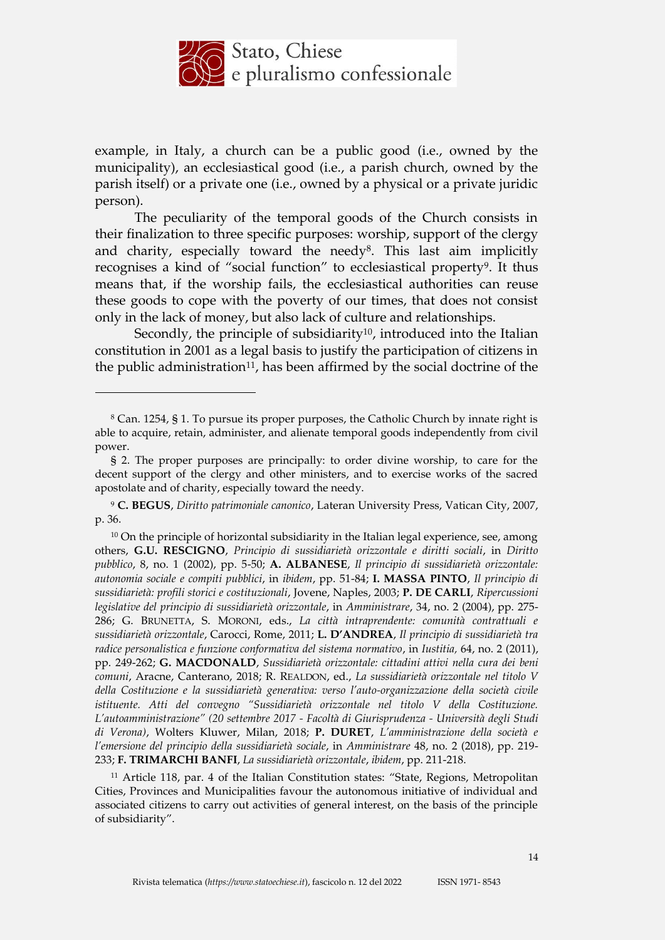

example, in Italy, a church can be a public good (i.e., owned by the municipality), an ecclesiastical good (i.e., a parish church, owned by the parish itself) or a private one (i.e., owned by a physical or a private juridic person).

The peculiarity of the temporal goods of the Church consists in their finalization to three specific purposes: worship, support of the clergy and charity, especially toward the needy<sup>8</sup>. This last aim implicitly recognises a kind of "social function" to ecclesiastical property<sup>9</sup>. It thus means that, if the worship fails, the ecclesiastical authorities can reuse these goods to cope with the poverty of our times, that does not consist only in the lack of money, but also lack of culture and relationships.

Secondly, the principle of subsidiarity<sup>10</sup>, introduced into the Italian constitution in 2001 as a legal basis to justify the participation of citizens in the public administration<sup>11</sup>, has been affirmed by the social doctrine of the

<sup>8</sup> Can. 1254, § 1. To pursue its proper purposes, the Catholic Church by innate right is able to acquire, retain, administer, and alienate temporal goods independently from civil power.

<sup>§</sup> 2. The proper purposes are principally: to order divine worship, to care for the decent support of the clergy and other ministers, and to exercise works of the sacred apostolate and of charity, especially toward the needy.

<sup>9</sup> **C. BEGUS**, *Diritto patrimoniale canonico*, Lateran University Press, Vatican City, 2007, p. 36.

<sup>&</sup>lt;sup>10</sup> On the principle of horizontal subsidiarity in the Italian legal experience, see, among others, **G.U. RESCIGNO**, *Principio di sussidiarietà orizzontale e diritti sociali*, in *Diritto pubblico*, 8, no. 1 (2002), pp. 5-50; **A. ALBANESE**, *Il principio di sussidiarietà orizzontale: autonomia sociale e compiti pubblici*, in *ibidem*, pp. 51-84; **I. MASSA PINTO**, *Il principio di sussidiarietà: profili storici e costituzionali*, Jovene, Naples, 2003; **P. DE CARLI**, *Ripercussioni legislative del principio di sussidiarietà orizzontale*, in *Amministrare*, 34, no. 2 (2004), pp. 275- 286; G. BRUNETTA, S. MORONI, eds., *La città intraprendente: comunità contrattuali e sussidiarietà orizzontale*, Carocci, Rome, 2011; **L. D'ANDREA**, *Il principio di sussidiarietà tra radice personalistica e funzione conformativa del sistema normativo*, in *Iustitia,* 64, no. 2 (2011), pp. 249-262; **G. MACDONALD**, *Sussidiarietà orizzontale: cittadini attivi nella cura dei beni comuni*, Aracne, Canterano, 2018; R. REALDON, ed., *La sussidiarietà orizzontale nel titolo V della Costituzione e la sussidiarietà generativa: verso l'auto-organizzazione della società civile istituente. Atti del convegno "Sussidiarietà orizzontale nel titolo V della Costituzione. L'autoamministrazione" (20 settembre 2017 - Facoltà di Giurisprudenza - Università degli Studi di Verona)*, Wolters Kluwer, Milan, 2018; **P. DURET**, *L'amministrazione della società e l'emersione del principio della sussidiarietà sociale*, in *Amministrare* 48, no. 2 (2018), pp. 219- 233; **F. TRIMARCHI BANFI**, *La sussidiarietà orizzontale*, *ibidem*, pp. 211-218.

<sup>11</sup> Article 118, par. 4 of the Italian Constitution states: "State, Regions, Metropolitan Cities, Provinces and Municipalities favour the autonomous initiative of individual and associated citizens to carry out activities of general interest, on the basis of the principle of subsidiarity".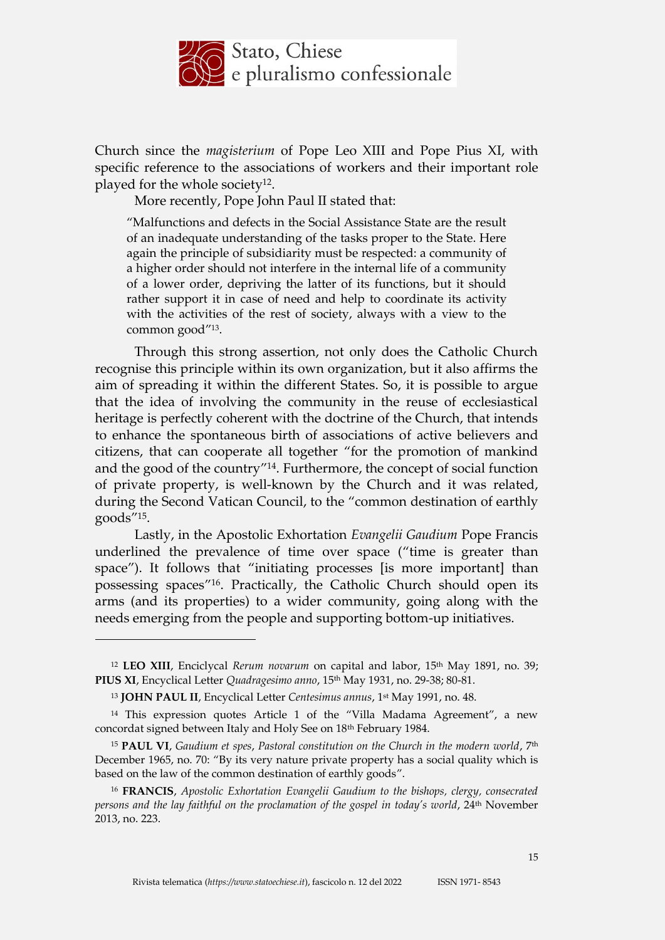

Church since the *magisterium* of Pope Leo XIII and Pope Pius XI, with specific reference to the associations of workers and their important role played for the whole society12.

More recently, Pope John Paul II stated that:

"Malfunctions and defects in the Social Assistance State are the result of an inadequate understanding of the tasks proper to the State. Here again the principle of subsidiarity must be respected: a community of a higher order should not interfere in the internal life of a community of a lower order, depriving the latter of its functions, but it should rather support it in case of need and help to coordinate its activity with the activities of the rest of society, always with a view to the common good"13.

Through this strong assertion, not only does the Catholic Church recognise this principle within its own organization, but it also affirms the aim of spreading it within the different States. So, it is possible to argue that the idea of involving the community in the reuse of ecclesiastical heritage is perfectly coherent with the doctrine of the Church, that intends to enhance the spontaneous birth of associations of active believers and citizens, that can cooperate all together "for the promotion of mankind and the good of the country"14. Furthermore, the concept of social function of private property, is well-known by the Church and it was related, during the Second Vatican Council, to the "common destination of earthly goods"15.

Lastly, in the Apostolic Exhortation *Evangelii Gaudium* Pope Francis underlined the prevalence of time over space ("time is greater than space"). It follows that "initiating processes [is more important] than possessing spaces"16. Practically, the Catholic Church should open its arms (and its properties) to a wider community, going along with the needs emerging from the people and supporting bottom-up initiatives.

 $\overline{a}$ 

<sup>12</sup> **LEO XIII**, Enciclycal *Rerum novarum* on capital and labor, 15th May 1891, no. 39; **PIUS XI**, Encyclical Letter *Quadragesimo anno*, 15th May 1931, no. 29-38; 80-81.

<sup>13</sup> **JOHN PAUL II**, Encyclical Letter *Centesimus annus*, 1st May 1991, no. 48.

<sup>14</sup> This expression quotes Article 1 of the "Villa Madama Agreement", a new concordat signed between Italy and Holy See on 18th February 1984.

<sup>15</sup> **PAUL VI**, *Gaudium et spes*, *Pastoral constitution on the Church in the modern world*, 7th December 1965, no. 70: "By its very nature private property has a social quality which is based on the law of the common destination of earthly goods".

<sup>16</sup> **FRANCIS**, *Apostolic Exhortation Evangelii Gaudium to the bishops, clergy, consecrated persons and the lay faithful on the proclamation of the gospel in today's world*, 24th November 2013, no. 223.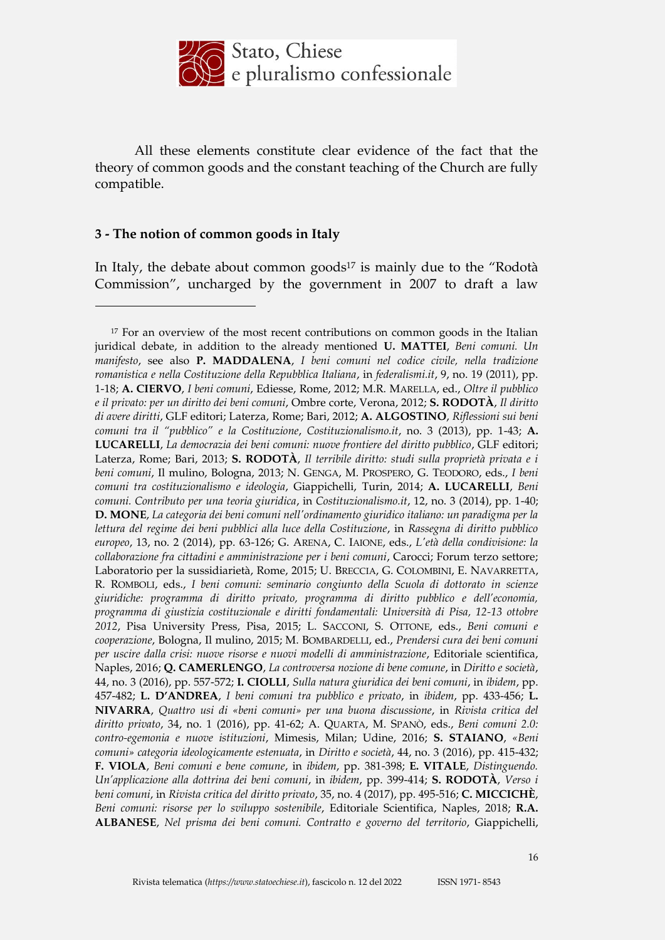

All these elements constitute clear evidence of the fact that the theory of common goods and the constant teaching of the Church are fully compatible.

#### **3 - The notion of common goods in Italy**

<u>.</u>

In Italy, the debate about common goods <sup>17</sup> is mainly due to the "Rodotà Commission", uncharged by the government in 2007 to draft a law

<sup>&</sup>lt;sup>17</sup> For an overview of the most recent contributions on common goods in the Italian juridical debate, in addition to the already mentioned **U. MATTEI**, *Beni comuni. Un manifesto*, see also **P. MADDALENA**, *I beni comuni nel codice civile, nella tradizione romanistica e nella Costituzione della Repubblica Italiana*, in *federalismi.it*, 9, no. 19 (2011), pp. 1-18; **A. CIERVO**, *I beni comuni*, Ediesse, Rome, 2012; M.R. MARELLA, ed., *Oltre il pubblico e il privato: per un diritto dei beni comuni*, Ombre corte, Verona, 2012; **S. RODOTÀ**, *Il diritto di avere diritti*, GLF editori; Laterza, Rome; Bari, 2012; **A. ALGOSTINO**, *Riflessioni sui beni comuni tra il "pubblico" e la Costituzione*, *Costituzionalismo.it*, no. 3 (2013), pp. 1-43; **A. LUCARELLI**, *La democrazia dei beni comuni: nuove frontiere del diritto pubblico*, GLF editori; Laterza, Rome; Bari, 2013; **S. RODOTÀ**, *Il terribile diritto: studi sulla proprietà privata e i beni comuni*, Il mulino, Bologna, 2013; N. GENGA, M. PROSPERO, G. TEODORO, eds., *I beni comuni tra costituzionalismo e ideologia*, Giappichelli, Turin, 2014; **A. LUCARELLI**, *Beni comuni. Contributo per una teoria giuridica*, in *Costituzionalismo.it*, 12, no. 3 (2014), pp. 1-40; **D. MONE**, *La categoria dei beni comuni nell'ordinamento giuridico italiano: un paradigma per la lettura del regime dei beni pubblici alla luce della Costituzione*, in *Rassegna di diritto pubblico europeo*, 13, no. 2 (2014), pp. 63-126; G. ARENA, C. IAIONE, eds., *L'età della condivisione: la collaborazione fra cittadini e amministrazione per i beni comuni*, Carocci; Forum terzo settore; Laboratorio per la sussidiarietà, Rome, 2015; U. BRECCIA, G. COLOMBINI, E. NAVARRETTA, R. ROMBOLI, eds., *I beni comuni: seminario congiunto della Scuola di dottorato in scienze giuridiche: programma di diritto privato, programma di diritto pubblico e dell'economia, programma di giustizia costituzionale e diritti fondamentali: Università di Pisa, 12-13 ottobre 2012*, Pisa University Press, Pisa, 2015; L. SACCONI, S. OTTONE, eds., *Beni comuni e cooperazione*, Bologna, Il mulino, 2015; M. BOMBARDELLI, ed., *Prendersi cura dei beni comuni per uscire dalla crisi: nuove risorse e nuovi modelli di amministrazione*, Editoriale scientifica, Naples, 2016; **Q. CAMERLENGO**, *La controversa nozione di bene comune*, in *Diritto e società*, 44, no. 3 (2016), pp. 557-572; **I. CIOLLI**, *Sulla natura giuridica dei beni comuni*, in *ibidem*, pp. 457-482; **L. D'ANDREA**, *I beni comuni tra pubblico e privato*, in *ibidem*, pp. 433-456; **L. NIVARRA**, *Quattro usi di «beni comuni» per una buona discussione*, in *Rivista critica del diritto privato*, 34, no. 1 (2016), pp. 41-62; A. QUARTA, M. SPANÒ, eds., *Beni comuni 2.0: contro-egemonia e nuove istituzioni*, Mimesis, Milan; Udine, 2016; **S. STAIANO**, *«Beni comuni» categoria ideologicamente estenuata*, in *Diritto e società*, 44, no. 3 (2016), pp. 415-432; **F. VIOLA**, *Beni comuni e bene comune*, in *ibidem*, pp. 381-398; **E. VITALE**, *Distinguendo. Un'applicazione alla dottrina dei beni comuni*, in *ibidem*, pp. 399-414; **S. RODOTÀ**, *Verso i beni comuni*, in *Rivista critica del diritto privato*, 35, no. 4 (2017), pp. 495-516; **C. MICCICHÈ**, *Beni comuni: risorse per lo sviluppo sostenibile*, Editoriale Scientifica, Naples, 2018; **R.A. ALBANESE**, *Nel prisma dei beni comuni. Contratto e governo del territorio*, Giappichelli,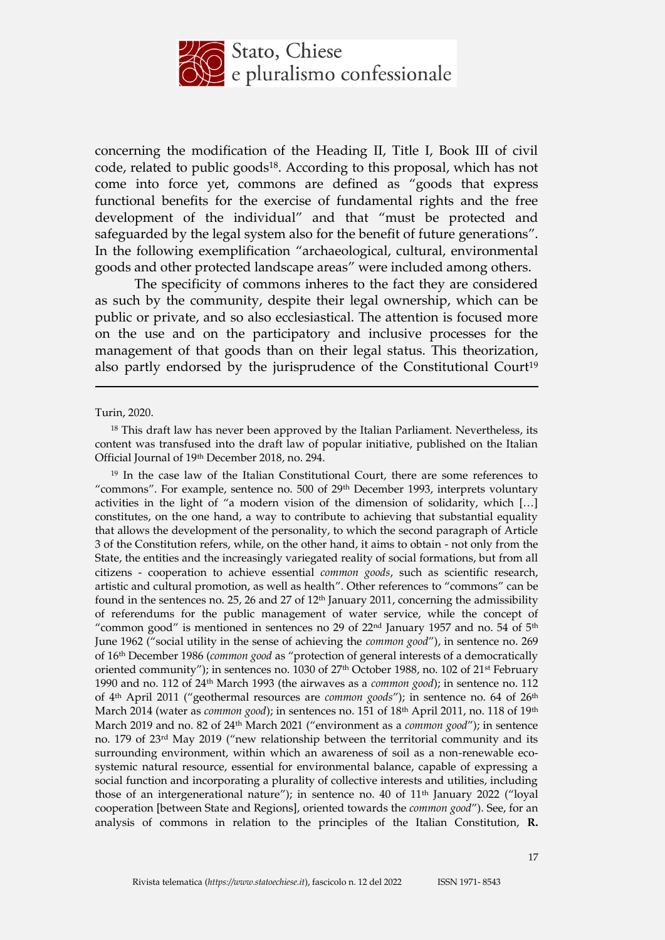

concerning the modification of the Heading II, Title I, Book III of civil code, related to public goods18. According to this proposal, which has not come into force yet, commons are defined as "goods that express functional benefits for the exercise of fundamental rights and the free development of the individual" and that "must be protected and safeguarded by the legal system also for the benefit of future generations". In the following exemplification "archaeological, cultural, environmental goods and other protected landscape areas" were included among others.

The specificity of commons inheres to the fact they are considered as such by the community, despite their legal ownership, which can be public or private, and so also ecclesiastical. The attention is focused more on the use and on the participatory and inclusive processes for the management of that goods than on their legal status. This theorization, also partly endorsed by the jurisprudence of the Constitutional Court<sup>19</sup>

Turin, 2020.

<u>.</u>

<sup>19</sup> In the case law of the Italian Constitutional Court, there are some references to "commons". For example, sentence no. 500 of 29th December 1993, interprets voluntary activities in the light of "a modern vision of the dimension of solidarity, which […] constitutes, on the one hand, a way to contribute to achieving that substantial equality that allows the development of the personality, to which the second paragraph of Article 3 of the Constitution refers, while, on the other hand, it aims to obtain - not only from the State, the entities and the increasingly variegated reality of social formations, but from all citizens - cooperation to achieve essential *common goods*, such as scientific research, artistic and cultural promotion, as well as health". Other references to "commons" can be found in the sentences no. 25, 26 and 27 of 12th January 2011, concerning the admissibility of referendums for the public management of water service, while the concept of "common good" is mentioned in sentences no 29 of  $22<sup>nd</sup>$  January 1957 and no. 54 of  $5<sup>th</sup>$ June 1962 ("social utility in the sense of achieving the *common good*"), in sentence no. 269 of 16th December 1986 (*common good* as "protection of general interests of a democratically oriented community"); in sentences no. 1030 of 27<sup>th</sup> October 1988, no. 102 of 21<sup>st</sup> February 1990 and no. 112 of 24th March 1993 (the airwaves as a *common good*); in sentence no. 112 of 4th April 2011 ("geothermal resources are *common goods*"); in sentence no. 64 of 26th March 2014 (water as *common good*); in sentences no. 151 of 18<sup>th</sup> April 2011, no. 118 of 19<sup>th</sup> March 2019 and no. 82 of 24th March 2021 ("environment as a *common good*"); in sentence no. 179 of 23rd May 2019 ("new relationship between the territorial community and its surrounding environment, within which an awareness of soil as a non-renewable ecosystemic natural resource, essential for environmental balance, capable of expressing a social function and incorporating a plurality of collective interests and utilities, including those of an intergenerational nature"); in sentence no. 40 of 11<sup>th</sup> January 2022 ("loyal cooperation [between State and Regions], oriented towards the *common good*"). See, for an analysis of commons in relation to the principles of the Italian Constitution, **R.** 

<sup>&</sup>lt;sup>18</sup> This draft law has never been approved by the Italian Parliament. Nevertheless, its content was transfused into the draft law of popular initiative, published on the Italian Official Journal of 19th December 2018, no. 294.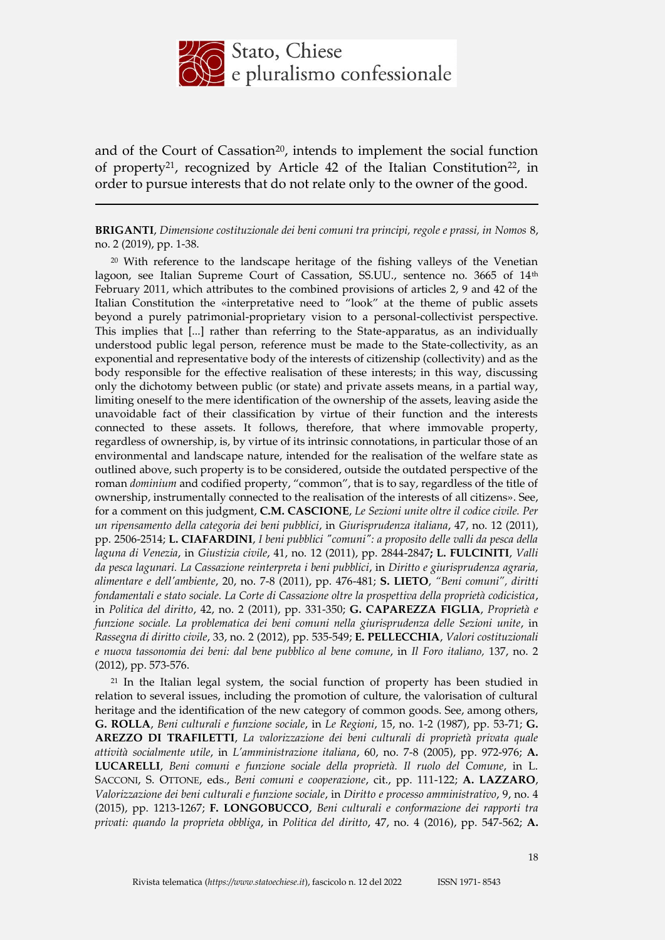

and of the Court of Cassation<sup>20</sup>, intends to implement the social function of property<sup>21</sup>, recognized by Article 42 of the Italian Constitution<sup>22</sup>, in order to pursue interests that do not relate only to the owner of the good.

**BRIGANTI**, *Dimensione costituzionale dei beni comuni tra principi, regole e prassi, in Nomos* 8, no. 2 (2019), pp. 1-38.

<u>.</u>

<sup>20</sup> With reference to the landscape heritage of the fishing valleys of the Venetian lagoon, see Italian Supreme Court of Cassation, SS.UU., sentence no. 3665 of 14<sup>th</sup> February 2011, which attributes to the combined provisions of articles 2, 9 and 42 of the Italian Constitution the «interpretative need to "look" at the theme of public assets beyond a purely patrimonial-proprietary vision to a personal-collectivist perspective. This implies that [...] rather than referring to the State-apparatus, as an individually understood public legal person, reference must be made to the State-collectivity, as an exponential and representative body of the interests of citizenship (collectivity) and as the body responsible for the effective realisation of these interests; in this way, discussing only the dichotomy between public (or state) and private assets means, in a partial way, limiting oneself to the mere identification of the ownership of the assets, leaving aside the unavoidable fact of their classification by virtue of their function and the interests connected to these assets. It follows, therefore, that where immovable property, regardless of ownership, is, by virtue of its intrinsic connotations, in particular those of an environmental and landscape nature, intended for the realisation of the welfare state as outlined above, such property is to be considered, outside the outdated perspective of the roman *dominium* and codified property, "common", that is to say, regardless of the title of ownership, instrumentally connected to the realisation of the interests of all citizens». See, for a comment on this judgment, **C.M. CASCIONE**, *Le Sezioni unite oltre il codice civile. Per un ripensamento della categoria dei beni pubblici*, in *Giurisprudenza italiana*, 47, no. 12 (2011), pp. 2506-2514; **L. CIAFARDINI**, *I beni pubblici "comuni": a proposito delle valli da pesca della laguna di Venezia*, in *Giustizia civile*, 41, no. 12 (2011), pp. 2844-2847**; L. FULCINITI**, *Valli da pesca lagunari. La Cassazione reinterpreta i beni pubblici*, in *Diritto e giurisprudenza agraria, alimentare e dell'ambiente*, 20, no. 7-8 (2011), pp. 476-481; **S. LIETO**, *"Beni comuni", diritti fondamentali e stato sociale. La Corte di Cassazione oltre la prospettiva della proprietà codicistica*, in *Politica del diritto*, 42, no. 2 (2011), pp. 331-350; **G. CAPAREZZA FIGLIA**, *Proprietà e funzione sociale. La problematica dei beni comuni nella giurisprudenza delle Sezioni unite*, in *Rassegna di diritto civile*, 33, no. 2 (2012), pp. 535-549; **E. PELLECCHIA**, *Valori costituzionali e nuova tassonomia dei beni: dal bene pubblico al bene comune*, in *Il Foro italiano,* 137, no. 2 (2012), pp. 573-576.

<sup>21</sup> In the Italian legal system, the social function of property has been studied in relation to several issues, including the promotion of culture, the valorisation of cultural heritage and the identification of the new category of common goods. See, among others, **G. ROLLA**, *Beni culturali e funzione sociale*, in *Le Regioni*, 15, no. 1-2 (1987), pp. 53-71; **G. AREZZO DI TRAFILETTI**, *La valorizzazione dei beni culturali di proprietà privata quale attività socialmente utile*, in *L'amministrazione italiana*, 60, no. 7-8 (2005), pp. 972-976; **A. LUCARELLI**, *Beni comuni e funzione sociale della proprietà. Il ruolo del Comune*, in L. SACCONI, S. OTTONE, eds., *Beni comuni e cooperazione*, cit., pp. 111-122; **A. LAZZARO**, *Valorizzazione dei beni culturali e funzione sociale*, in *Diritto e processo amministrativo*, 9, no. 4 (2015), pp. 1213-1267; **F. LONGOBUCCO**, *Beni culturali e conformazione dei rapporti tra privati: quando la proprieta obbliga*, in *Politica del diritto*, 47, no. 4 (2016), pp. 547-562; **A.**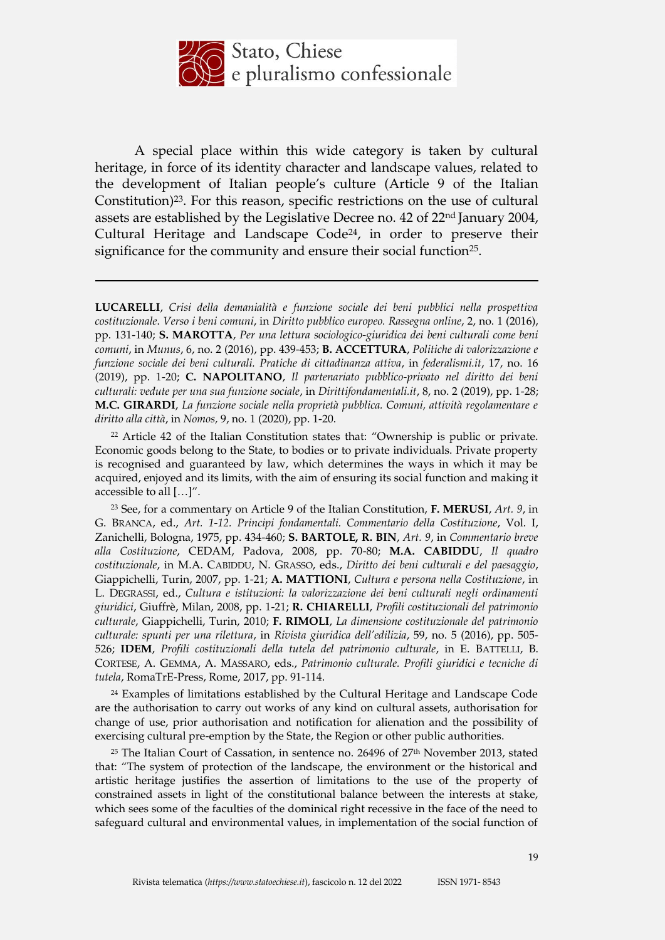

A special place within this wide category is taken by cultural heritage, in force of its identity character and landscape values, related to the development of Italian people's culture (Article 9 of the Italian Constitution)23. For this reason, specific restrictions on the use of cultural assets are established by the Legislative Decree no. 42 of 22nd January 2004, Cultural Heritage and Landscape Code<sup>24</sup>, in order to preserve their significance for the community and ensure their social function<sup>25</sup>.

<u>.</u>

<sup>22</sup> Article 42 of the Italian Constitution states that: "Ownership is public or private. Economic goods belong to the State, to bodies or to private individuals. Private property is recognised and guaranteed by law, which determines the ways in which it may be acquired, enjoyed and its limits, with the aim of ensuring its social function and making it accessible to all […]".

<sup>23</sup> See, for a commentary on Article 9 of the Italian Constitution, **F. MERUSI**, *Art. 9*, in G. BRANCA, ed., *Art. 1-12. Principi fondamentali. Commentario della Costituzione*, Vol. I, Zanichelli, Bologna, 1975, pp. 434-460; **S. BARTOLE, R. BIN**, *Art. 9*, in *Commentario breve alla Costituzione*, CEDAM, Padova, 2008, pp. 70-80; **M.A. CABIDDU**, *Il quadro costituzionale*, in M.A. CABIDDU, N. GRASSO, eds., *Diritto dei beni culturali e del paesaggio*, Giappichelli, Turin, 2007, pp. 1-21; **A. MATTIONI**, *Cultura e persona nella Costituzione*, in L. DEGRASSI, ed., *Cultura e istituzioni: la valorizzazione dei beni culturali negli ordinamenti giuridici*, Giuffrè, Milan, 2008, pp. 1-21; **R. CHIARELLI**, *Profili costituzionali del patrimonio culturale*, Giappichelli, Turin, 2010; **F. RIMOLI**, *La dimensione costituzionale del patrimonio culturale: spunti per una rilettura*, in *Rivista giuridica dell'edilizia*, 59, no. 5 (2016), pp. 505- 526; **IDEM**, *Profili costituzionali della tutela del patrimonio culturale*, in E. BATTELLI, B. CORTESE, A. GEMMA, A. MASSARO, eds., *Patrimonio culturale. Profili giuridici e tecniche di tutela*, RomaTrE-Press, Rome, 2017, pp. 91-114.

<sup>24</sup> Examples of limitations established by the Cultural Heritage and Landscape Code are the authorisation to carry out works of any kind on cultural assets, authorisation for change of use, prior authorisation and notification for alienation and the possibility of exercising cultural pre-emption by the State, the Region or other public authorities.

<sup>25</sup> The Italian Court of Cassation, in sentence no. 26496 of 27<sup>th</sup> November 2013, stated that: "The system of protection of the landscape, the environment or the historical and artistic heritage justifies the assertion of limitations to the use of the property of constrained assets in light of the constitutional balance between the interests at stake, which sees some of the faculties of the dominical right recessive in the face of the need to safeguard cultural and environmental values, in implementation of the social function of

**LUCARELLI**, *Crisi della demanialità e funzione sociale dei beni pubblici nella prospettiva costituzionale*. *Verso i beni comuni*, in *Diritto pubblico europeo. Rassegna online*, 2, no. 1 (2016), pp. 131-140; **S. MAROTTA**, *Per una lettura sociologico-giuridica dei beni culturali come beni comuni*, in *Munus*, 6, no. 2 (2016), pp. 439-453; **B. ACCETTURA**, *Politiche di valorizzazione e funzione sociale dei beni culturali. Pratiche di cittadinanza attiva*, in *federalismi.it*, 17, no. 16 (2019), pp. 1-20; **C. NAPOLITANO**, *Il partenariato pubblico-privato nel diritto dei beni culturali: vedute per una sua funzione sociale*, in *Dirittifondamentali.it*, 8, no. 2 (2019), pp. 1-28; **M.C. GIRARDI**, *La funzione sociale nella proprietà pubblica. Comuni, attività regolamentare e diritto alla città*, in *Nomos,* 9, no. 1 (2020), pp. 1-20.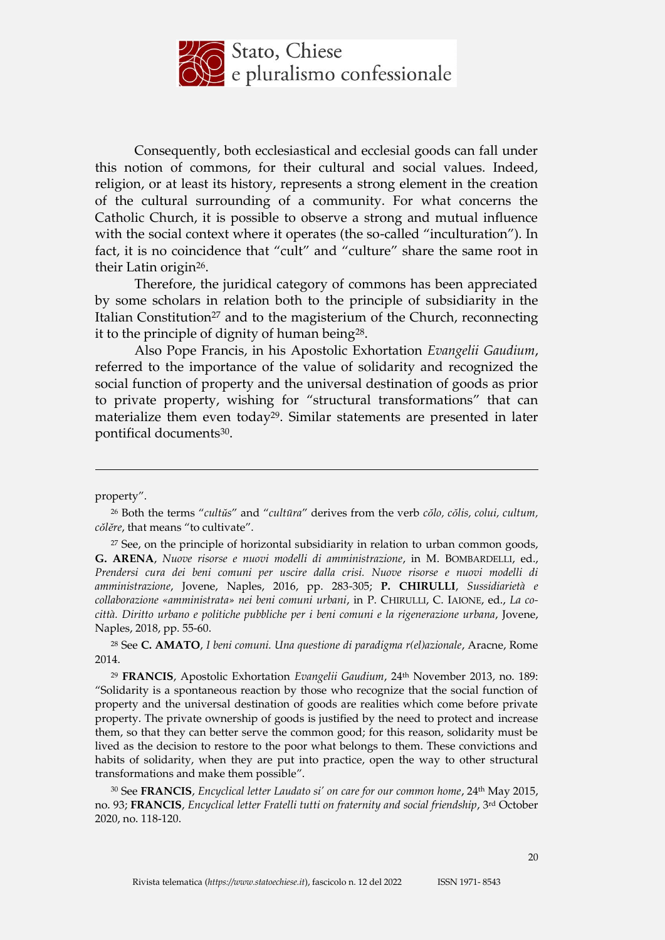

Consequently, both ecclesiastical and ecclesial goods can fall under this notion of commons, for their cultural and social values. Indeed, religion, or at least its history, represents a strong element in the creation of the cultural surrounding of a community. For what concerns the Catholic Church, it is possible to observe a strong and mutual influence with the social context where it operates (the so-called "inculturation"). In fact, it is no coincidence that "cult" and "culture" share the same root in their Latin origin26.

Therefore, the juridical category of commons has been appreciated by some scholars in relation both to the principle of subsidiarity in the Italian Constitution<sup>27</sup> and to the magisterium of the Church, reconnecting it to the principle of dignity of human being28.

Also Pope Francis, in his Apostolic Exhortation *Evangelii Gaudium*, referred to the importance of the value of solidarity and recognized the social function of property and the universal destination of goods as prior to private property, wishing for "structural transformations" that can materialize them even today<sup>29</sup>. Similar statements are presented in later pontifical documents<sup>30</sup>.

property".

<u>.</u>

<sup>27</sup> See, on the principle of horizontal subsidiarity in relation to urban common goods, **G. ARENA**, *Nuove risorse e nuovi modelli di amministrazione*, in M. BOMBARDELLI, ed., *Prendersi cura dei beni comuni per uscire dalla crisi. Nuove risorse e nuovi modelli di amministrazione*, Jovene, Naples, 2016, pp. 283-305; **P. CHIRULLI**, *Sussidiarietà e collaborazione «amministrata» nei beni comuni urbani*, in P. CHIRULLI, C. IAIONE, ed., *La cocittà. Diritto urbano e politiche pubbliche per i beni comuni e la rigenerazione urbana*, Jovene, Naples, 2018, pp. 55-60.

<sup>28</sup> See **C. AMATO**, *I beni comuni. Una questione di paradigma r(el)azionale*, Aracne, Rome 2014.

<sup>29</sup> **FRANCIS**, Apostolic Exhortation *Evangelii Gaudium*, 24th November 2013, no. 189: "Solidarity is a spontaneous reaction by those who recognize that the social function of property and the universal destination of goods are realities which come before private property. The private ownership of goods is justified by the need to protect and increase them, so that they can better serve the common good; for this reason, solidarity must be lived as the decision to restore to the poor what belongs to them. These convictions and habits of solidarity, when they are put into practice, open the way to other structural transformations and make them possible".

<sup>30</sup> See **FRANCIS**, *Encyclical letter Laudato si' on care for our common home*, 24th May 2015, no. 93; **FRANCIS**, *Encyclical letter Fratelli tutti on fraternity and social friendship*, 3rd October 2020, no. 118-120.

<sup>26</sup> Both the terms "*cultŭs*" and "*cultūra*" derives from the verb *cŏlo, cŏlis, colui, cultum, cŏlĕre*, that means "to cultivate".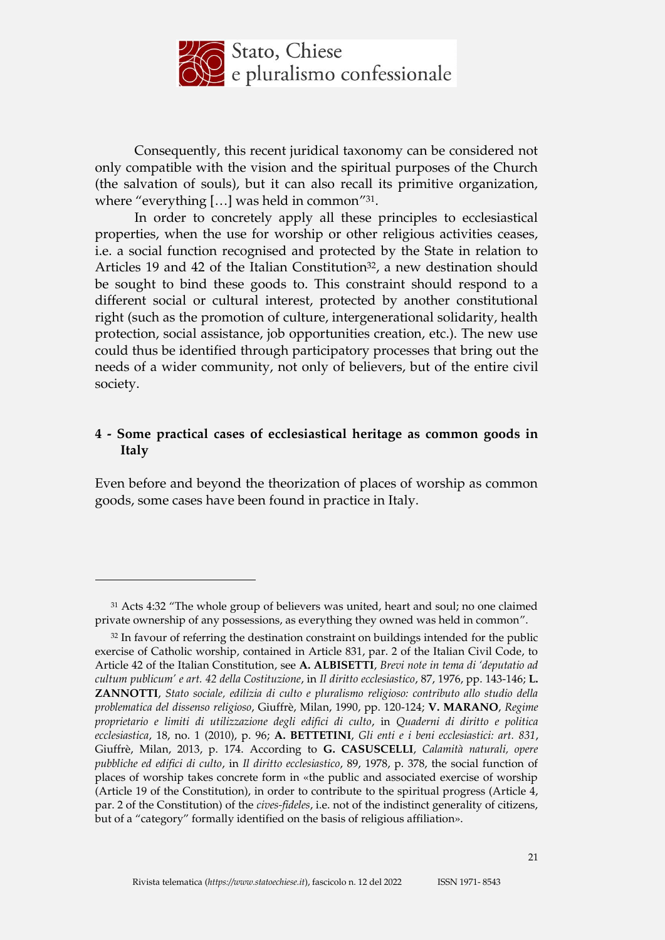

Consequently, this recent juridical taxonomy can be considered not only compatible with the vision and the spiritual purposes of the Church (the salvation of souls), but it can also recall its primitive organization, where "everything [...] was held in common"<sup>31</sup>.

In order to concretely apply all these principles to ecclesiastical properties, when the use for worship or other religious activities ceases, i.e. a social function recognised and protected by the State in relation to Articles 19 and 42 of the Italian Constitution<sup>32</sup>, a new destination should be sought to bind these goods to. This constraint should respond to a different social or cultural interest, protected by another constitutional right (such as the promotion of culture, intergenerational solidarity, health protection, social assistance, job opportunities creation, etc.). The new use could thus be identified through participatory processes that bring out the needs of a wider community, not only of believers, but of the entire civil society.

### **4 - Some practical cases of ecclesiastical heritage as common goods in Italy**

Even before and beyond the theorization of places of worship as common goods, some cases have been found in practice in Italy.

<sup>31</sup> Acts 4:32 "The whole group of believers was united, heart and soul; no one claimed private ownership of any possessions, as everything they owned was held in common".

<sup>&</sup>lt;sup>32</sup> In favour of referring the destination constraint on buildings intended for the public exercise of Catholic worship, contained in Article 831, par. 2 of the Italian Civil Code, to Article 42 of the Italian Constitution, see **A. ALBISETTI**, *Brevi note in tema di 'deputatio ad cultum publicum' e art. 42 della Costituzione*, in *Il diritto ecclesiastico*, 87, 1976, pp. 143-146; **L. ZANNOTTI**, *Stato sociale, edilizia di culto e pluralismo religioso: contributo allo studio della problematica del dissenso religioso*, Giuffrè, Milan, 1990, pp. 120-124; **V. MARANO**, *Regime proprietario e limiti di utilizzazione degli edifici di culto*, in *Quaderni di diritto e politica ecclesiastica*, 18, no. 1 (2010), p. 96; **A. BETTETINI**, *Gli enti e i beni ecclesiastici: art. 831*, Giuffrè, Milan, 2013, p. 174. According to **G. CASUSCELLI**, *Calamità naturali, opere pubbliche ed edifici di culto*, in *Il diritto ecclesiastico*, 89, 1978, p. 378, the social function of places of worship takes concrete form in «the public and associated exercise of worship (Article 19 of the Constitution), in order to contribute to the spiritual progress (Article 4, par. 2 of the Constitution) of the *cives-fideles*, i.e. not of the indistinct generality of citizens, but of a "category" formally identified on the basis of religious affiliation».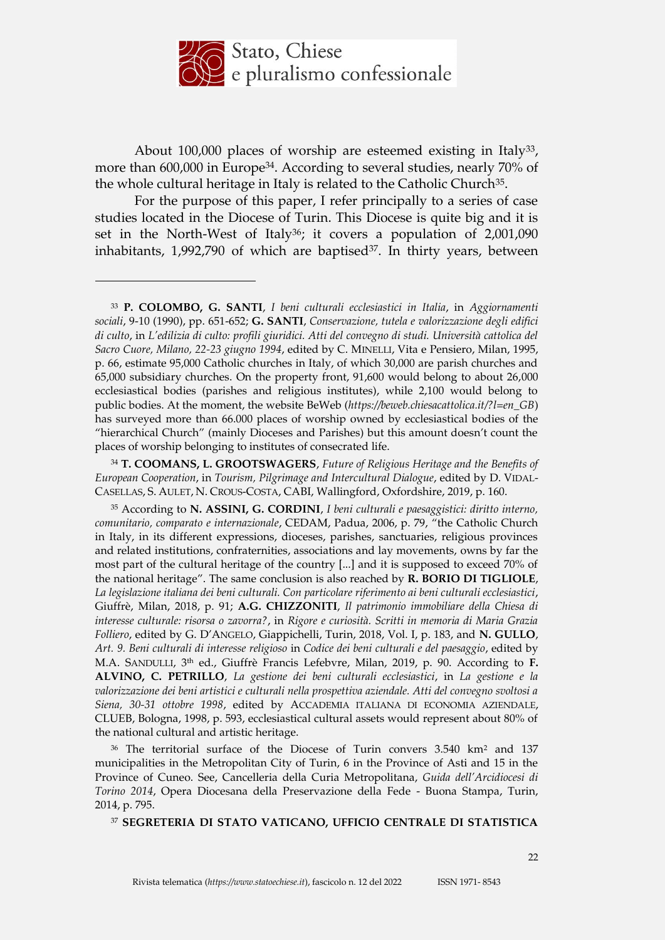

About 100,000 places of worship are esteemed existing in Italy<sup>33</sup>, more than 600,000 in Europe<sup>34</sup>. According to several studies, nearly 70% of the whole cultural heritage in Italy is related to the Catholic Church<sup>35</sup>.

For the purpose of this paper, I refer principally to a series of case studies located in the Diocese of Turin. This Diocese is quite big and it is set in the North-West of Italy<sup>36</sup>; it covers a population of 2,001,090 inhabitants,  $1,992,790$  of which are baptised<sup>37</sup>. In thirty years, between

<u>.</u>

<sup>36</sup> The territorial surface of the Diocese of Turin convers 3.540 km<sup>2</sup> and 137 municipalities in the Metropolitan City of Turin, 6 in the Province of Asti and 15 in the Province of Cuneo. See, Cancelleria della Curia Metropolitana, *Guida dell'Arcidiocesi di Torino 2014*, Opera Diocesana della Preservazione della Fede - Buona Stampa, Turin, 2014, p. 795.

<sup>37</sup> **SEGRETERIA DI STATO VATICANO, UFFICIO CENTRALE DI STATISTICA** 

<sup>33</sup> **P. COLOMBO, G. SANTI**, *I beni culturali ecclesiastici in Italia*, in *Aggiornamenti sociali*, 9-10 (1990), pp. 651-652; **G. SANTI**, *Conservazione, tutela e valorizzazione degli edifici di culto*, in *L'edilizia di culto: profili giuridici. Atti del convegno di studi. Università cattolica del Sacro Cuore, Milano, 22-23 giugno 1994*, edited by C. MINELLI, Vita e Pensiero, Milan, 1995, p. 66, estimate 95,000 Catholic churches in Italy, of which 30,000 are parish churches and 65,000 subsidiary churches. On the property front, 91,600 would belong to about 26,000 ecclesiastical bodies (parishes and religious institutes), while 2,100 would belong to public bodies. At the moment, the website BeWeb (*https://beweb.chiesacattolica.it/?l=en\_GB*) has surveyed more than 66.000 places of worship owned by ecclesiastical bodies of the "hierarchical Church" (mainly Dioceses and Parishes) but this amount doesn't count the places of worship belonging to institutes of consecrated life.

<sup>34</sup> **T. COOMANS, L. GROOTSWAGERS**, *Future of Religious Heritage and the Benefits of European Cooperation*, in *Tourism, Pilgrimage and Intercultural Dialogue*, edited by D. VIDAL-CASELLAS, S. AULET, N. CROUS-COSTA, CABI, Wallingford, Oxfordshire, 2019, p. 160.

<sup>35</sup> According to **N. ASSINI, G. CORDINI**, *I beni culturali e paesaggistici: diritto interno, comunitario, comparato e internazionale*, CEDAM, Padua, 2006, p. 79, "the Catholic Church in Italy, in its different expressions, dioceses, parishes, sanctuaries, religious provinces and related institutions, confraternities, associations and lay movements, owns by far the most part of the cultural heritage of the country [...] and it is supposed to exceed 70% of the national heritage". The same conclusion is also reached by **R. BORIO DI TIGLIOLE**, *La legislazione italiana dei beni culturali. Con particolare riferimento ai beni culturali ecclesiastici*, Giuffrè, Milan, 2018, p. 91; **A.G. CHIZZONITI**, *Il patrimonio immobiliare della Chiesa di interesse culturale: risorsa o zavorra?*, in *Rigore e curiosità. Scritti in memoria di Maria Grazia Folliero*, edited by G. D'ANGELO, Giappichelli, Turin, 2018, Vol. I, p. 183, and **N. GULLO**, *Art. 9. Beni culturali di interesse religioso* in *Codice dei beni culturali e del paesaggio*, edited by M.A. SANDULLI, 3th ed., Giuffrè Francis Lefebvre, Milan, 2019, p. 90. According to **F. ALVINO, C. PETRILLO**, *La gestione dei beni culturali ecclesiastici*, in *La gestione e la valorizzazione dei beni artistici e culturali nella prospettiva aziendale. Atti del convegno svoltosi a Siena, 30-31 ottobre 1998*, edited by ACCADEMIA ITALIANA DI ECONOMIA AZIENDALE, CLUEB, Bologna, 1998, p. 593, ecclesiastical cultural assets would represent about 80% of the national cultural and artistic heritage.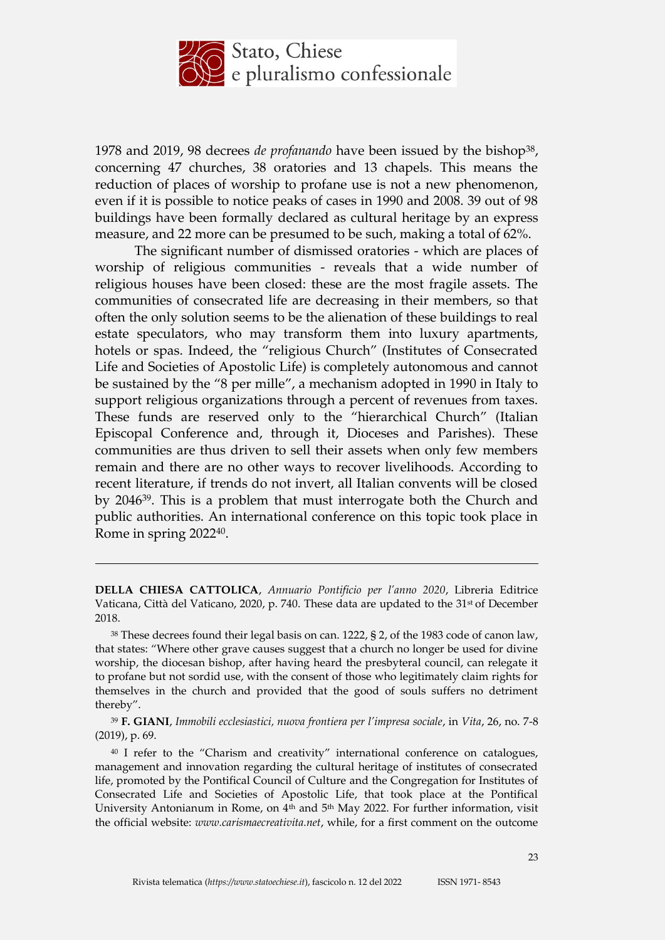

1978 and 2019, 98 decrees *de profanando* have been issued by the bishop38, concerning 47 churches, 38 oratories and 13 chapels. This means the reduction of places of worship to profane use is not a new phenomenon, even if it is possible to notice peaks of cases in 1990 and 2008. 39 out of 98 buildings have been formally declared as cultural heritage by an express measure, and 22 more can be presumed to be such, making a total of 62%.

The significant number of dismissed oratories - which are places of worship of religious communities - reveals that a wide number of religious houses have been closed: these are the most fragile assets. The communities of consecrated life are decreasing in their members, so that often the only solution seems to be the alienation of these buildings to real estate speculators, who may transform them into luxury apartments, hotels or spas. Indeed, the "religious Church" (Institutes of Consecrated Life and Societies of Apostolic Life) is completely autonomous and cannot be sustained by the "8 per mille", a mechanism adopted in 1990 in Italy to support religious organizations through a percent of revenues from taxes. These funds are reserved only to the "hierarchical Church" (Italian Episcopal Conference and, through it, Dioceses and Parishes). These communities are thus driven to sell their assets when only few members remain and there are no other ways to recover livelihoods. According to recent literature, if trends do not invert, all Italian convents will be closed by 204639. This is a problem that must interrogate both the Church and public authorities. An international conference on this topic took place in Rome in spring 202240.

**DELLA CHIESA CATTOLICA**, *Annuario Pontificio per l'anno 2020*, Libreria Editrice Vaticana, Città del Vaticano, 2020, p. 740. These data are updated to the 31st of December 2018.

<sup>38</sup> These decrees found their legal basis on can. 1222, § 2, of the 1983 code of canon law, that states: "Where other grave causes suggest that a church no longer be used for divine worship, the diocesan bishop, after having heard the presbyteral council, can relegate it to profane but not sordid use, with the consent of those who legitimately claim rights for themselves in the church and provided that the good of souls suffers no detriment thereby".

<sup>39</sup> **F. GIANI**, *Immobili ecclesiastici, nuova frontiera per l'impresa sociale*, in *Vita*, 26, no. 7-8 (2019), p. 69.

<sup>40</sup> I refer to the "Charism and creativity" international conference on catalogues, management and innovation regarding the cultural heritage of institutes of consecrated life, promoted by the Pontifical Council of Culture and the Congregation for Institutes of Consecrated Life and Societies of Apostolic Life, that took place at the Pontifical University Antonianum in Rome, on 4<sup>th</sup> and 5<sup>th</sup> May 2022. For further information, visit the official website: *www.carismaecreativita.net*, while, for a first comment on the outcome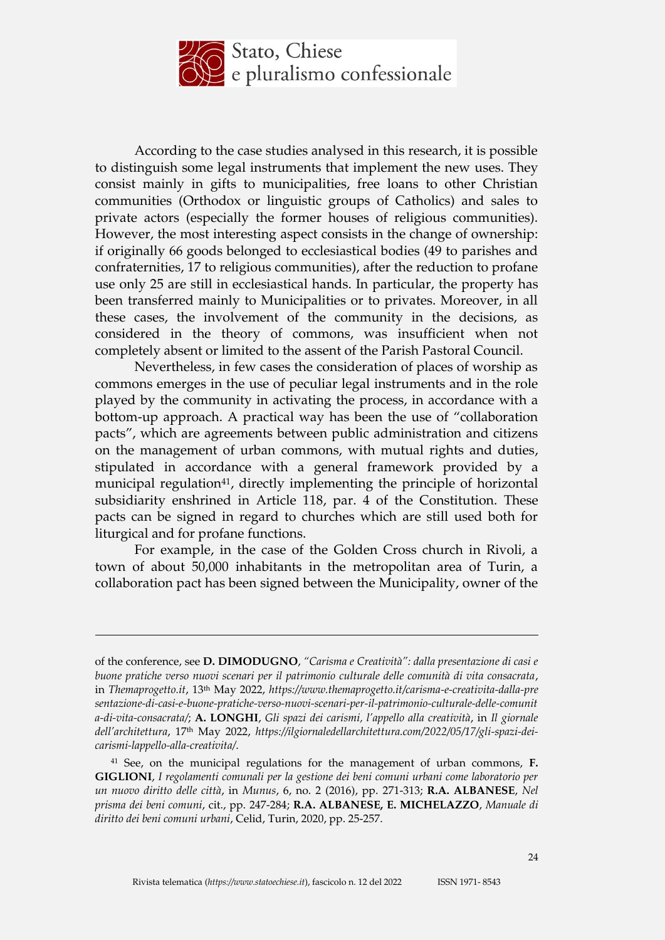

According to the case studies analysed in this research, it is possible to distinguish some legal instruments that implement the new uses. They consist mainly in gifts to municipalities, free loans to other Christian communities (Orthodox or linguistic groups of Catholics) and sales to private actors (especially the former houses of religious communities). However, the most interesting aspect consists in the change of ownership: if originally 66 goods belonged to ecclesiastical bodies (49 to parishes and confraternities, 17 to religious communities), after the reduction to profane use only 25 are still in ecclesiastical hands. In particular, the property has been transferred mainly to Municipalities or to privates. Moreover, in all these cases, the involvement of the community in the decisions, as considered in the theory of commons, was insufficient when not completely absent or limited to the assent of the Parish Pastoral Council.

Nevertheless, in few cases the consideration of places of worship as commons emerges in the use of peculiar legal instruments and in the role played by the community in activating the process, in accordance with a bottom-up approach. A practical way has been the use of "collaboration pacts", which are agreements between public administration and citizens on the management of urban commons, with mutual rights and duties, stipulated in accordance with a general framework provided by a municipal regulation<sup>41</sup>, directly implementing the principle of horizontal subsidiarity enshrined in Article 118, par. 4 of the Constitution. These pacts can be signed in regard to churches which are still used both for liturgical and for profane functions.

For example, in the case of the Golden Cross church in Rivoli, a town of about 50,000 inhabitants in the metropolitan area of Turin, a collaboration pact has been signed between the Municipality, owner of the

of the conference, see **D. DIMODUGNO**, *"Carisma e Creatività": dalla presentazione di casi e buone pratiche verso nuovi scenari per il patrimonio culturale delle comunità di vita consacrata*, in *Themaprogetto.it*, 13th May 2022, *https://www.themaprogetto.it/carisma-e-creativita-dalla-pre sentazione-di-casi-e-buone-pratiche-verso-nuovi-scenari-per-il-patrimonio-culturale-delle-comunit a-di-vita-consacrata/*; **A. LONGHI**, *Gli spazi dei carismi, l'appello alla creatività*, in *Il giornale dell'architettura*, 17th May 2022, *https://ilgiornaledellarchitettura.com/2022/05/17/gli-spazi-deicarismi-lappello-alla-creativita/*.

<sup>41</sup> See, on the municipal regulations for the management of urban commons, **F. GIGLIONI**, *I regolamenti comunali per la gestione dei beni comuni urbani come laboratorio per un nuovo diritto delle città*, in *Munus*, 6, no. 2 (2016), pp. 271-313; **R.A. ALBANESE**, *Nel prisma dei beni comuni*, cit., pp. 247-284; **R.A. ALBANESE, E. MICHELAZZO**, *Manuale di diritto dei beni comuni urbani*, Celid, Turin, 2020, pp. 25-257.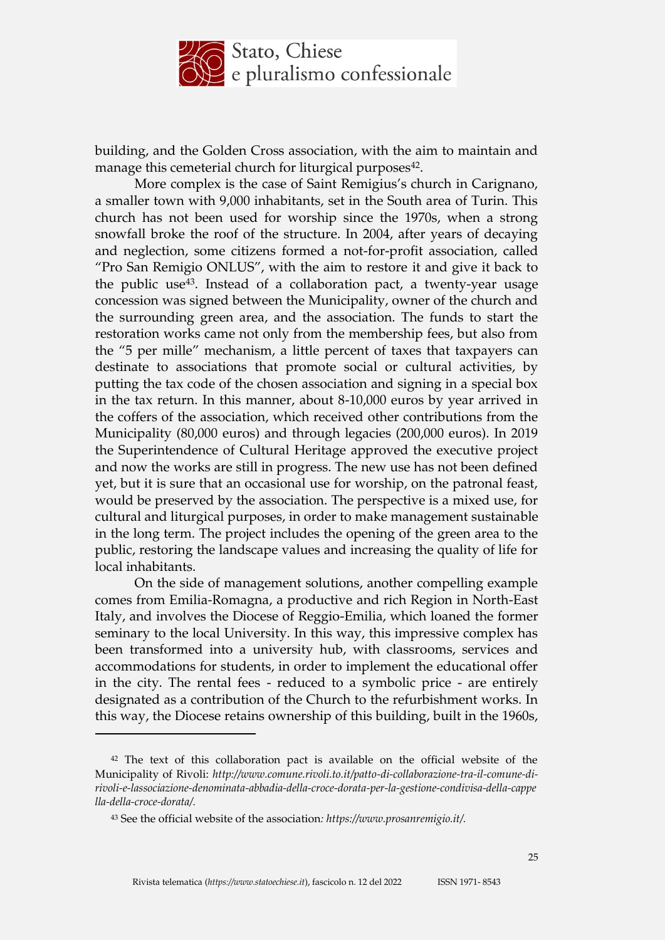

building, and the Golden Cross association, with the aim to maintain and manage this cemeterial church for liturgical purposes<sup>42</sup>.

More complex is the case of Saint Remigius's church in Carignano, a smaller town with 9,000 inhabitants, set in the South area of Turin. This church has not been used for worship since the 1970s, when a strong snowfall broke the roof of the structure. In 2004, after years of decaying and neglection, some citizens formed a not-for-profit association, called "Pro San Remigio ONLUS", with the aim to restore it and give it back to the public use43. Instead of a collaboration pact, a twenty-year usage concession was signed between the Municipality, owner of the church and the surrounding green area, and the association. The funds to start the restoration works came not only from the membership fees, but also from the "5 per mille" mechanism, a little percent of taxes that taxpayers can destinate to associations that promote social or cultural activities, by putting the tax code of the chosen association and signing in a special box in the tax return. In this manner, about 8-10,000 euros by year arrived in the coffers of the association, which received other contributions from the Municipality (80,000 euros) and through legacies (200,000 euros). In 2019 the Superintendence of Cultural Heritage approved the executive project and now the works are still in progress. The new use has not been defined yet, but it is sure that an occasional use for worship, on the patronal feast, would be preserved by the association. The perspective is a mixed use, for cultural and liturgical purposes, in order to make management sustainable in the long term. The project includes the opening of the green area to the public, restoring the landscape values and increasing the quality of life for local inhabitants.

On the side of management solutions, another compelling example comes from Emilia-Romagna, a productive and rich Region in North-East Italy, and involves the Diocese of Reggio-Emilia, which loaned the former seminary to the local University. In this way, this impressive complex has been transformed into a university hub, with classrooms, services and accommodations for students, in order to implement the educational offer in the city. The rental fees - reduced to a symbolic price - are entirely designated as a contribution of the Church to the refurbishment works. In this way, the Diocese retains ownership of this building, built in the 1960s,

<sup>42</sup> The text of this collaboration pact is available on the official website of the Municipality of Rivoli: *http://www.comune.rivoli.to.it/patto-di-collaborazione-tra-il-comune-dirivoli-e-lassociazione-denominata-abbadia-della-croce-dorata-per-la-gestione-condivisa-della-cappe lla-della-croce-dorata/.*

<sup>43</sup> See the official website of the association*: https://www.prosanremigio.it/.*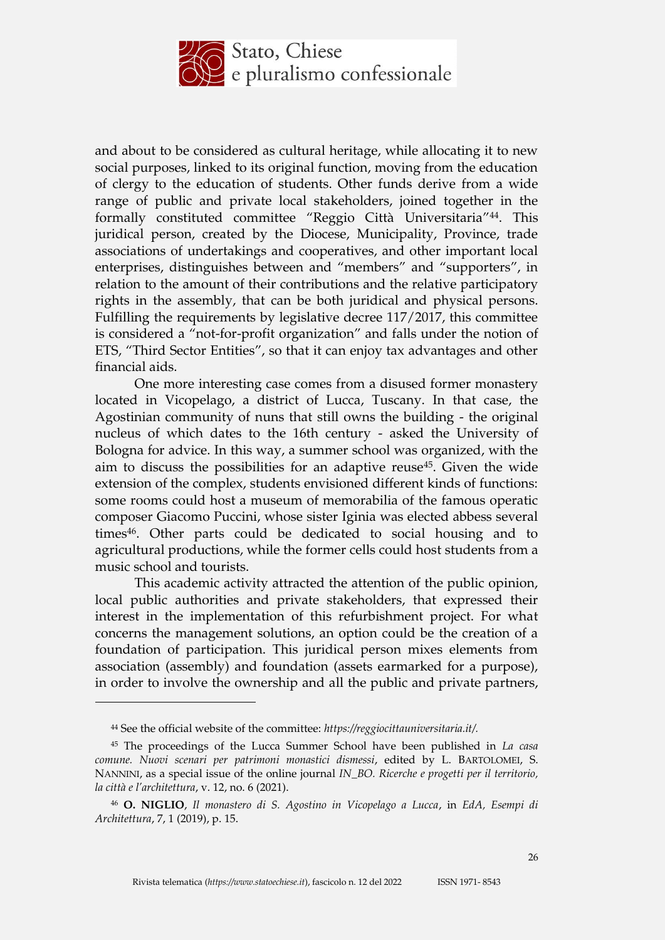

and about to be considered as cultural heritage, while allocating it to new social purposes, linked to its original function, moving from the education of clergy to the education of students. Other funds derive from a wide range of public and private local stakeholders, joined together in the formally constituted committee "Reggio Città Universitaria"44. This juridical person, created by the Diocese, Municipality, Province, trade associations of undertakings and cooperatives, and other important local enterprises, distinguishes between and "members" and "supporters", in relation to the amount of their contributions and the relative participatory rights in the assembly, that can be both juridical and physical persons. Fulfilling the requirements by legislative decree 117/2017, this committee is considered a "not-for-profit organization" and falls under the notion of ETS, "Third Sector Entities", so that it can enjoy tax advantages and other financial aids.

One more interesting case comes from a disused former monastery located in Vicopelago, a district of Lucca, Tuscany. In that case, the Agostinian community of nuns that still owns the building - the original nucleus of which dates to the 16th century - asked the University of Bologna for advice. In this way, a summer school was organized, with the aim to discuss the possibilities for an adaptive reuse45. Given the wide extension of the complex, students envisioned different kinds of functions: some rooms could host a museum of memorabilia of the famous operatic composer Giacomo Puccini, whose sister Iginia was elected abbess several times<sup>46</sup>. Other parts could be dedicated to social housing and to agricultural productions, while the former cells could host students from a music school and tourists.

This academic activity attracted the attention of the public opinion, local public authorities and private stakeholders, that expressed their interest in the implementation of this refurbishment project. For what concerns the management solutions, an option could be the creation of a foundation of participation. This juridical person mixes elements from association (assembly) and foundation (assets earmarked for a purpose), in order to involve the ownership and all the public and private partners,

<sup>44</sup> See the official website of the committee: *https://reggiocittauniversitaria.it/.*

<sup>45</sup> The proceedings of the Lucca Summer School have been published in *La casa comune. Nuovi scenari per patrimoni monastici dismessi*, edited by L. BARTOLOMEI, S. NANNINI, as a special issue of the online journal *IN\_BO. Ricerche e progetti per il territorio, la città e l'architettura*, v. 12, no. 6 (2021).

<sup>46</sup> **O. NIGLIO**, *Il monastero di S. Agostino in Vicopelago a Lucca*, in *EdA, Esempi di Architettura*, 7, 1 (2019), p. 15.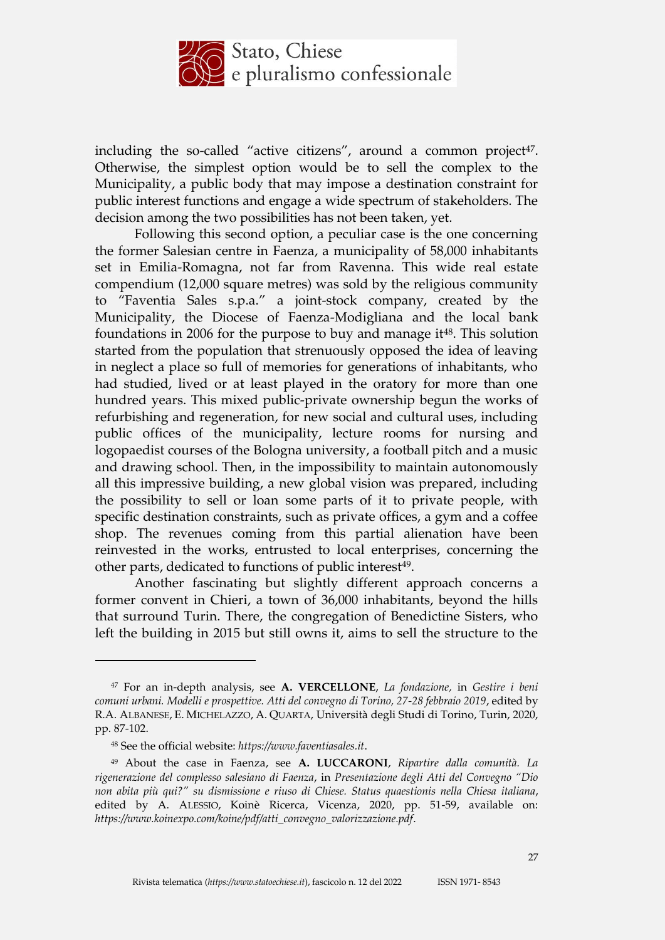

including the so-called "active citizens", around a common project $47$ . Otherwise, the simplest option would be to sell the complex to the Municipality, a public body that may impose a destination constraint for public interest functions and engage a wide spectrum of stakeholders. The decision among the two possibilities has not been taken, yet.

Following this second option, a peculiar case is the one concerning the former Salesian centre in Faenza, a municipality of 58,000 inhabitants set in Emilia-Romagna, not far from Ravenna. This wide real estate compendium (12,000 square metres) was sold by the religious community to "Faventia Sales s.p.a." a joint-stock company, created by the Municipality, the Diocese of Faenza-Modigliana and the local bank foundations in 2006 for the purpose to buy and manage it<sup>48</sup>. This solution started from the population that strenuously opposed the idea of leaving in neglect a place so full of memories for generations of inhabitants, who had studied, lived or at least played in the oratory for more than one hundred years. This mixed public-private ownership begun the works of refurbishing and regeneration, for new social and cultural uses, including public offices of the municipality, lecture rooms for nursing and logopaedist courses of the Bologna university, a football pitch and a music and drawing school. Then, in the impossibility to maintain autonomously all this impressive building, a new global vision was prepared, including the possibility to sell or loan some parts of it to private people, with specific destination constraints, such as private offices, a gym and a coffee shop. The revenues coming from this partial alienation have been reinvested in the works, entrusted to local enterprises, concerning the other parts, dedicated to functions of public interest<sup>49</sup>.

Another fascinating but slightly different approach concerns a former convent in Chieri, a town of 36,000 inhabitants, beyond the hills that surround Turin. There, the congregation of Benedictine Sisters, who left the building in 2015 but still owns it, aims to sell the structure to the

<sup>47</sup> For an in-depth analysis, see **A. VERCELLONE**, *La fondazione,* in *Gestire i beni comuni urbani. Modelli e prospettive. Atti del convegno di Torino, 27-28 febbraio 2019*, edited by R.A. ALBANESE, E. MICHELAZZO, A. QUARTA, Università degli Studi di Torino, Turin, 2020, pp. 87-102.

<sup>48</sup> See the official website: *https://www.faventiasales.it*.

<sup>49</sup> About the case in Faenza, see **A. LUCCARONI**, *Ripartire dalla comunità. La rigenerazione del complesso salesiano di Faenza*, in *Presentazione degli Atti del Convegno "Dio*  non abita più qui?" su dismissione e riuso di Chiese. Status quaestionis nella Chiesa italiana, edited by A. ALESSIO, Koinè Ricerca, Vicenza, 2020, pp. 51-59, available on: *https://www.koinexpo.com/koine/pdf/atti\_convegno\_valorizzazione.pdf*.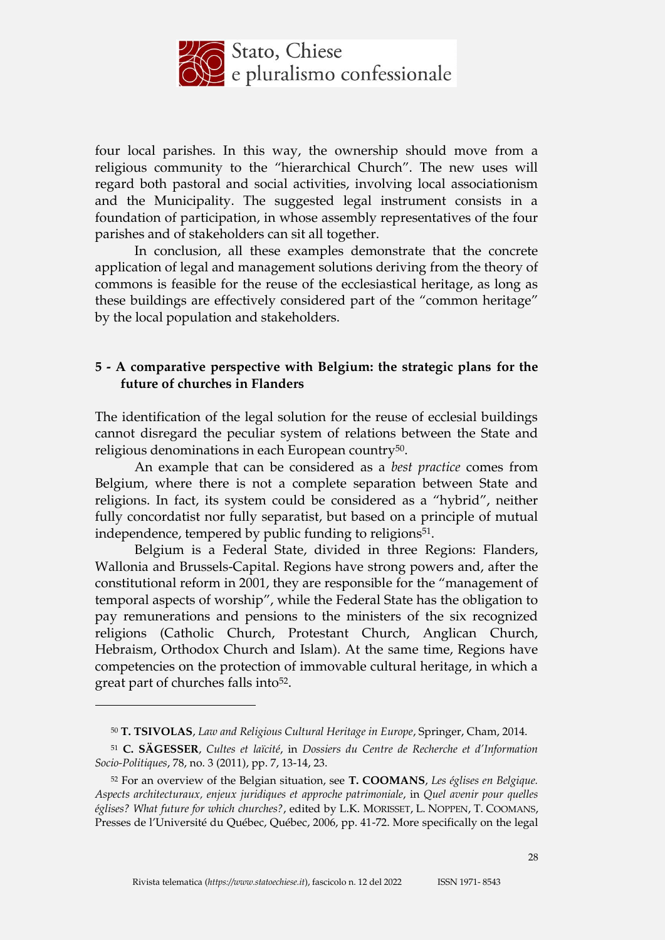

four local parishes. In this way, the ownership should move from a religious community to the "hierarchical Church". The new uses will regard both pastoral and social activities, involving local associationism and the Municipality. The suggested legal instrument consists in a foundation of participation, in whose assembly representatives of the four parishes and of stakeholders can sit all together.

In conclusion, all these examples demonstrate that the concrete application of legal and management solutions deriving from the theory of commons is feasible for the reuse of the ecclesiastical heritage, as long as these buildings are effectively considered part of the "common heritage" by the local population and stakeholders.

# **5 - A comparative perspective with Belgium: the strategic plans for the future of churches in Flanders**

The identification of the legal solution for the reuse of ecclesial buildings cannot disregard the peculiar system of relations between the State and religious denominations in each European country50.

An example that can be considered as a *best practice* comes from Belgium, where there is not a complete separation between State and religions. In fact, its system could be considered as a "hybrid", neither fully concordatist nor fully separatist, but based on a principle of mutual independence, tempered by public funding to religions<sup>51</sup>.

Belgium is a Federal State, divided in three Regions: Flanders, Wallonia and Brussels-Capital. Regions have strong powers and, after the constitutional reform in 2001, they are responsible for the "management of temporal aspects of worship", while the Federal State has the obligation to pay remunerations and pensions to the ministers of the six recognized religions (Catholic Church, Protestant Church, Anglican Church, Hebraism, Orthodox Church and Islam). At the same time, Regions have competencies on the protection of immovable cultural heritage, in which a great part of churches falls into<sup>52</sup>.

<sup>50</sup> **T. TSIVOLAS**, *Law and Religious Cultural Heritage in Europe*, Springer, Cham, 2014.

<sup>51</sup> **C. SÄGESSER**, *Cultes et laïcité*, in *Dossiers du Centre de Recherche et d'Information Socio-Politiques*, 78, no. 3 (2011), pp. 7, 13-14, 23.

<sup>52</sup> For an overview of the Belgian situation, see **T. COOMANS**, *Les églises en Belgique. Aspects architecturaux, enjeux juridiques et approche patrimoniale*, in *Quel avenir pour quelles églises? What future for which churches?*, edited by L.K. MORISSET, L. NOPPEN, T. COOMANS, Presses de l'Université du Québec, Québec, 2006, pp. 41-72. More specifically on the legal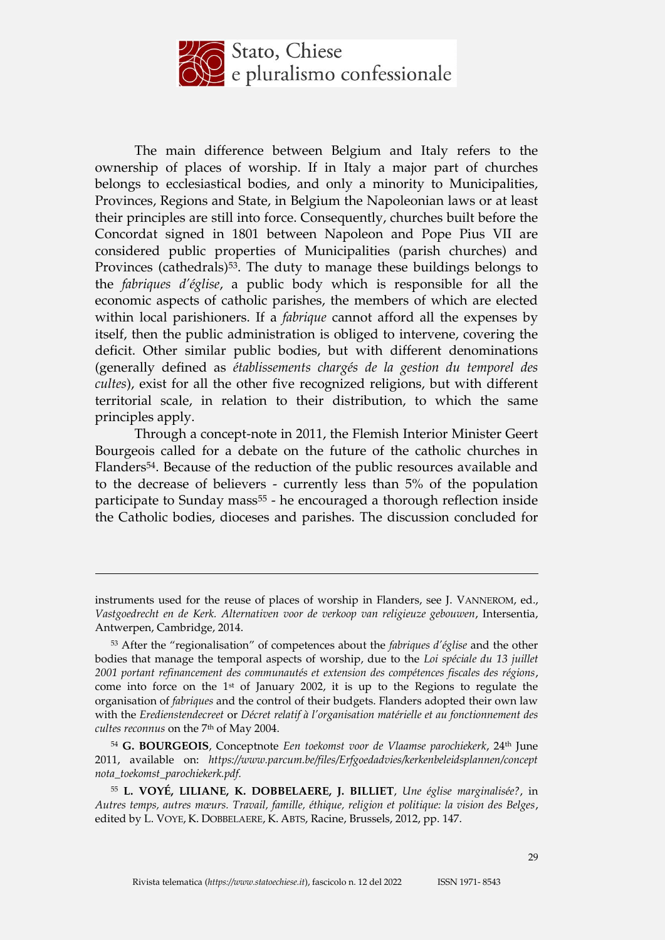

The main difference between Belgium and Italy refers to the ownership of places of worship. If in Italy a major part of churches belongs to ecclesiastical bodies, and only a minority to Municipalities, Provinces, Regions and State, in Belgium the Napoleonian laws or at least their principles are still into force. Consequently, churches built before the Concordat signed in 1801 between Napoleon and Pope Pius VII are considered public properties of Municipalities (parish churches) and Provinces (cathedrals)<sup>53</sup>. The duty to manage these buildings belongs to the *fabriques d'église*, a public body which is responsible for all the economic aspects of catholic parishes, the members of which are elected within local parishioners. If a *fabrique* cannot afford all the expenses by itself, then the public administration is obliged to intervene, covering the deficit. Other similar public bodies, but with different denominations (generally defined as *établissements chargés de la gestion du temporel des cultes*), exist for all the other five recognized religions, but with different territorial scale, in relation to their distribution, to which the same principles apply.

Through a concept-note in 2011, the Flemish Interior Minister Geert Bourgeois called for a debate on the future of the catholic churches in Flanders54. Because of the reduction of the public resources available and to the decrease of believers - currently less than 5% of the population participate to Sunday mass<sup>55</sup> - he encouraged a thorough reflection inside the Catholic bodies, dioceses and parishes. The discussion concluded for

instruments used for the reuse of places of worship in Flanders, see J. VANNEROM, ed., *Vastgoedrecht en de Kerk. Alternativen voor de verkoop van religieuze gebouwen*, Intersentia, Antwerpen, Cambridge, 2014.

<sup>53</sup> After the "regionalisation" of competences about the *fabriques d'église* and the other bodies that manage the temporal aspects of worship, due to the *Loi spéciale du 13 juillet 2001 portant refinancement des communautés et extension des compétences fiscales des régions*, come into force on the 1st of January 2002, it is up to the Regions to regulate the organisation of *fabriques* and the control of their budgets. Flanders adopted their own law with the *Eredienstendecreet* or *Décret relatif à l'organisation matérielle et au fonctionnement des cultes reconnus* on the 7th of May 2004.

<sup>54</sup> **G. BOURGEOIS**, Conceptnote *Een toekomst voor de Vlaamse parochiekerk*, 24th June 2011, available on: *https://www.parcum.be/files/Erfgoedadvies/kerkenbeleidsplannen/concept nota\_toekomst\_parochiekerk.pdf.*

<sup>55</sup> **L. VOYÉ, LILIANE, K. DOBBELAERE, J. BILLIET**, *Une église marginalisée?*, in *Autres temps, autres mœurs. Travail, famille, éthique, religion et politique: la vision des Belges*, edited by L. VOYE, K. DOBBELAERE, K. ABTS, Racine, Brussels, 2012, pp. 147.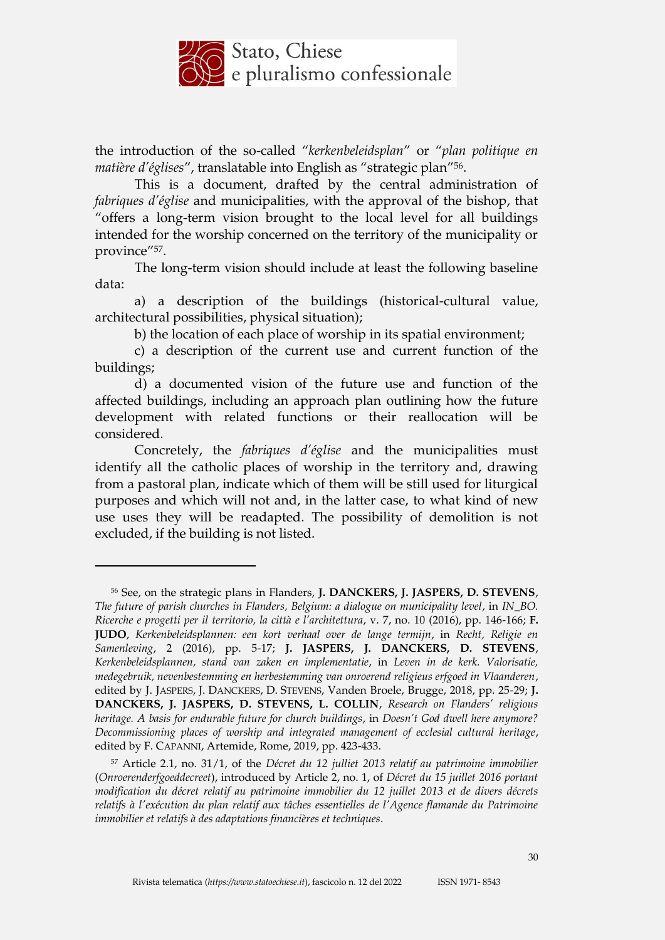

the introduction of the so-called "*kerkenbeleidsplan*" or "*plan politique en matière d'églises*", translatable into English as "strategic plan"56.

This is a document, drafted by the central administration of *fabriques d'église* and municipalities, with the approval of the bishop, that "offers a long-term vision brought to the local level for all buildings intended for the worship concerned on the territory of the municipality or province"57.

The long-term vision should include at least the following baseline data:

a) a description of the buildings (historical-cultural value, architectural possibilities, physical situation);

b) the location of each place of worship in its spatial environment;

c) a description of the current use and current function of the buildings;

d) a documented vision of the future use and function of the affected buildings, including an approach plan outlining how the future development with related functions or their reallocation will be considered.

Concretely, the *fabriques d'église* and the municipalities must identify all the catholic places of worship in the territory and, drawing from a pastoral plan, indicate which of them will be still used for liturgical purposes and which will not and, in the latter case, to what kind of new use uses they will be readapted. The possibility of demolition is not excluded, if the building is not listed.

<sup>56</sup> See, on the strategic plans in Flanders, **J. DANCKERS, J. JASPERS, D. STEVENS**, *The future of parish churches in Flanders, Belgium: a dialogue on municipality level*, in *IN\_BO. Ricerche e progetti per il territorio, la città e l'architettura*, v. 7, no. 10 (2016), pp. 146-166; **F. JUDO**, *Kerkenbeleidsplannen: een kort verhaal over de lange termijn*, in *Recht, Religie en Samenleving*, 2 (2016), pp. 5-17; **J. JASPERS, J. DANCKERS, D. STEVENS**, *Kerkenbeleidsplannen, stand van zaken en implementatie*, in *Leven in de kerk. Valorisatie, medegebruik, nevenbestemming en herbestemming van onroerend religieus erfgoed in Vlaanderen*, edited by J. JASPERS, J. DANCKERS, D. STEVENS, Vanden Broele, Brugge, 2018, pp. 25-29; **J. DANCKERS, J. JASPERS, D. STEVENS, L. COLLIN**, *Research on Flanders' religious heritage. A basis for endurable future for church buildings*, in *Doesn't God dwell here anymore? Decommissioning places of worship and integrated management of ecclesial cultural heritage*, edited by F. CAPANNI, Artemide, Rome, 2019, pp. 423-433.

<sup>57</sup> Article 2.1, no. 31/1, of the *Décret du 12 julliet 2013 relatif au patrimoine immobilier*  (*Onroerenderfgoeddecreet*), introduced by Article 2, no. 1, of *Décret du 15 juillet 2016 portant modification du décret relatif au patrimoine immobilier du 12 juillet 2013 et de divers décrets relatifs à l'exécution du plan relatif aux tâches essentielles de l'Agence flamande du Patrimoine immobilier et relatifs à des adaptations financières et techniques*.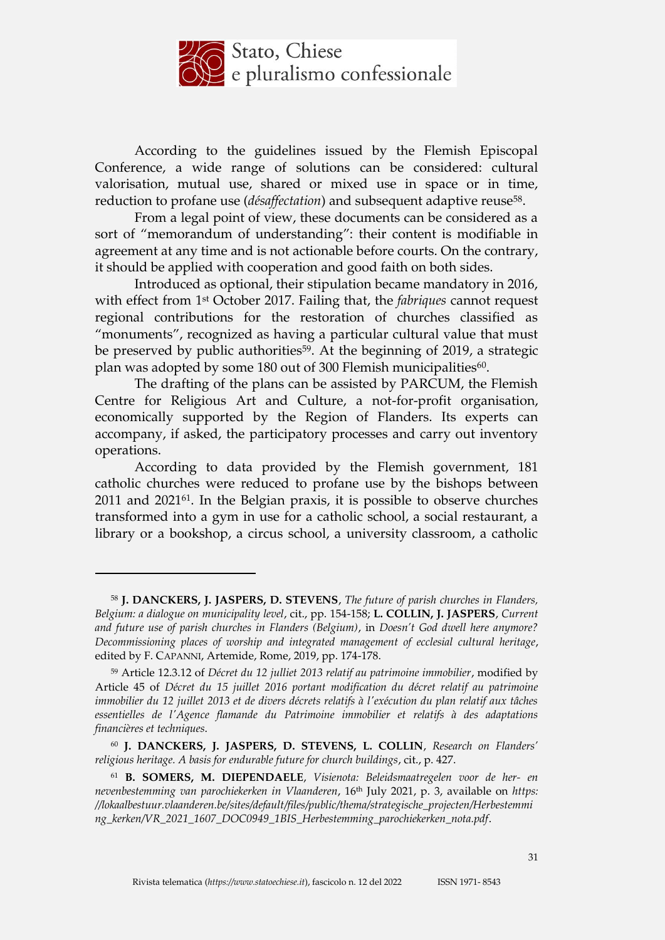

According to the guidelines issued by the Flemish Episcopal Conference, a wide range of solutions can be considered: cultural valorisation, mutual use, shared or mixed use in space or in time, reduction to profane use (*désaffectation*) and subsequent adaptive reuse<sup>58</sup>.

From a legal point of view, these documents can be considered as a sort of "memorandum of understanding": their content is modifiable in agreement at any time and is not actionable before courts. On the contrary, it should be applied with cooperation and good faith on both sides.

Introduced as optional, their stipulation became mandatory in 2016, with effect from 1st October 2017. Failing that, the *fabriques* cannot request regional contributions for the restoration of churches classified as "monuments", recognized as having a particular cultural value that must be preserved by public authorities<sup>59</sup>. At the beginning of 2019, a strategic plan was adopted by some 180 out of 300 Flemish municipalities<sup>60</sup>.

The drafting of the plans can be assisted by PARCUM, the Flemish Centre for Religious Art and Culture, a not-for-profit organisation, economically supported by the Region of Flanders. Its experts can accompany, if asked, the participatory processes and carry out inventory operations.

According to data provided by the Flemish government, 181 catholic churches were reduced to profane use by the bishops between 2011 and 2021<sup>61</sup>. In the Belgian praxis, it is possible to observe churches transformed into a gym in use for a catholic school, a social restaurant, a library or a bookshop, a circus school, a university classroom, a catholic

<u>.</u>

<sup>60</sup> **J. DANCKERS, J. JASPERS, D. STEVENS, L. COLLIN**, *Research on Flanders' religious heritage. A basis for endurable future for church buildings*, cit., p. 427.

<sup>58</sup> **J. DANCKERS, J. JASPERS, D. STEVENS**, *The future of parish churches in Flanders, Belgium: a dialogue on municipality level*, cit., pp. 154-158; **L. COLLIN, J. JASPERS**, *Current and future use of parish churches in Flanders (Belgium)*, in *Doesn't God dwell here anymore? Decommissioning places of worship and integrated management of ecclesial cultural heritage*, edited by F. CAPANNI, Artemide, Rome, 2019, pp. 174-178.

<sup>59</sup> Article 12.3.12 of *Décret du 12 julliet 2013 relatif au patrimoine immobilier*, modified by Article 45 of *Décret du 15 juillet 2016 portant modification du décret relatif au patrimoine immobilier du 12 juillet 2013 et de divers décrets relatifs à l'exécution du plan relatif aux tâches essentielles de l'Agence flamande du Patrimoine immobilier et relatifs à des adaptations financières et techniques*.

<sup>61</sup> **B. SOMERS, M. DIEPENDAELE**, *Visienota: Beleidsmaatregelen voor de her- en nevenbestemming van parochiekerken in Vlaanderen*, 16th July 2021, p. 3, available on *https: //lokaalbestuur.vlaanderen.be/sites/default/files/public/thema/strategische\_projecten/Herbestemmi ng\_kerken/VR\_2021\_1607\_DOC0949\_1BIS\_Herbestemming\_parochiekerken\_nota.pdf*.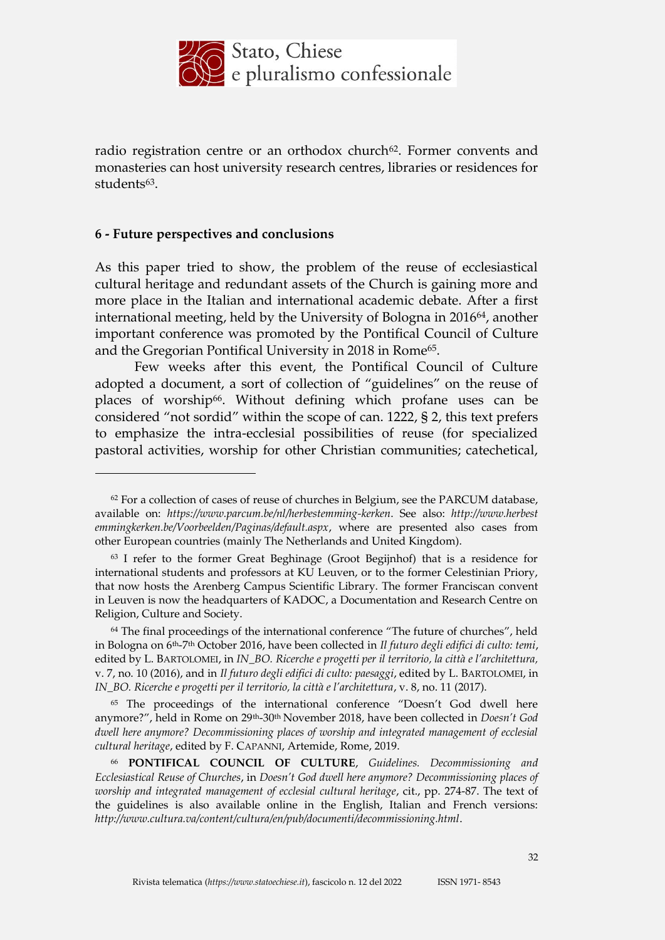

radio registration centre or an orthodox church<sup>62</sup>. Former convents and monasteries can host university research centres, libraries or residences for students<sup>63</sup>.

#### **6 - Future perspectives and conclusions**

<u>.</u>

As this paper tried to show, the problem of the reuse of ecclesiastical cultural heritage and redundant assets of the Church is gaining more and more place in the Italian and international academic debate. After a first international meeting, held by the University of Bologna in 201664, another important conference was promoted by the Pontifical Council of Culture and the Gregorian Pontifical University in 2018 in Rome<sup>65</sup>.

Few weeks after this event, the Pontifical Council of Culture adopted a document, a sort of collection of "guidelines" on the reuse of places of worship<sup>66</sup>. Without defining which profane uses can be considered "not sordid" within the scope of can. 1222, § 2, this text prefers to emphasize the intra-ecclesial possibilities of reuse (for specialized pastoral activities, worship for other Christian communities; catechetical,

<sup>65</sup> The proceedings of the international conference "Doesn't God dwell here anymore?", held in Rome on 29th-30th November 2018, have been collected in *Doesn't God dwell here anymore? Decommissioning places of worship and integrated management of ecclesial cultural heritage*, edited by F. CAPANNI, Artemide, Rome, 2019.

 $62$  For a collection of cases of reuse of churches in Belgium, see the PARCUM database, available on: *https://www.parcum.be/nl/herbestemming-kerken*. See also: *http://www.herbest emmingkerken.be/Voorbeelden/Paginas/default.aspx*, where are presented also cases from other European countries (mainly The Netherlands and United Kingdom).

<sup>63</sup> I refer to the former Great Beghinage (Groot Begijnhof) that is a residence for international students and professors at KU Leuven, or to the former Celestinian Priory, that now hosts the Arenberg Campus Scientific Library. The former Franciscan convent in Leuven is now the headquarters of KADOC, a Documentation and Research Centre on Religion, Culture and Society.

 $64$  The final proceedings of the international conference "The future of churches", held in Bologna on 6th-7 th October 2016, have been collected in *Il futuro degli edifici di culto: temi*, edited by L. BARTOLOMEI, in *IN\_BO. Ricerche e progetti per il territorio, la città e l'architettura,* v. 7, no. 10 (2016), and in *Il futuro degli edifici di culto: paesaggi*, edited by L. BARTOLOMEI, in *IN\_BO. Ricerche e progetti per il territorio, la città e l'architettura*, v. 8, no. 11 (2017).

<sup>66</sup> **PONTIFICAL COUNCIL OF CULTURE**, *Guidelines. Decommissioning and Ecclesiastical Reuse of Churches*, in *Doesn't God dwell here anymore? Decommissioning places of worship and integrated management of ecclesial cultural heritage*, cit., pp. 274-87. The text of the guidelines is also available online in the English, Italian and French versions: *http://www.cultura.va/content/cultura/en/pub/documenti/decommissioning.html*.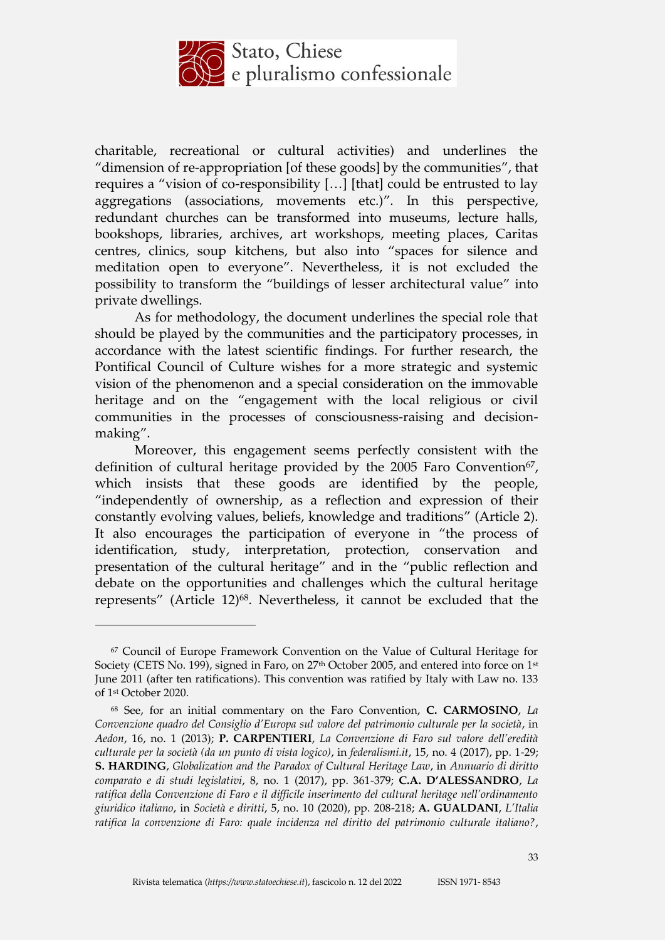

charitable, recreational or cultural activities) and underlines the "dimension of re-appropriation [of these goods] by the communities", that requires a "vision of co-responsibility […] [that] could be entrusted to lay aggregations (associations, movements etc.)". In this perspective, redundant churches can be transformed into museums, lecture halls, bookshops, libraries, archives, art workshops, meeting places, Caritas centres, clinics, soup kitchens, but also into "spaces for silence and meditation open to everyone". Nevertheless, it is not excluded the possibility to transform the "buildings of lesser architectural value" into private dwellings.

As for methodology, the document underlines the special role that should be played by the communities and the participatory processes, in accordance with the latest scientific findings. For further research, the Pontifical Council of Culture wishes for a more strategic and systemic vision of the phenomenon and a special consideration on the immovable heritage and on the "engagement with the local religious or civil communities in the processes of consciousness-raising and decisionmaking".

Moreover, this engagement seems perfectly consistent with the definition of cultural heritage provided by the  $2005$  Faro Convention<sup>67</sup>, which insists that these goods are identified by the people, "independently of ownership, as a reflection and expression of their constantly evolving values, beliefs, knowledge and traditions" (Article 2). It also encourages the participation of everyone in "the process of identification, study, interpretation, protection, conservation and presentation of the cultural heritage" and in the "public reflection and debate on the opportunities and challenges which the cultural heritage represents" (Article 12)<sup>68</sup>. Nevertheless, it cannot be excluded that the

<sup>67</sup> Council of Europe Framework Convention on the Value of Cultural Heritage for Society (CETS No. 199), signed in Faro, on 27<sup>th</sup> October 2005, and entered into force on 1<sup>st</sup> June 2011 (after ten ratifications). This convention was ratified by Italy with Law no. 133 of 1st October 2020.

<sup>68</sup> See, for an initial commentary on the Faro Convention, **C. CARMOSINO**, *La Convenzione quadro del Consiglio d'Europa sul valore del patrimonio culturale per la società*, in *Aedon*, 16, no. 1 (2013); **P. CARPENTIERI**, *La Convenzione di Faro sul valore dell'eredità culturale per la società (da un punto di vista logico)*, in *federalismi.it*, 15, no. 4 (2017), pp. 1-29; **S. HARDING**, *Globalization and the Paradox of Cultural Heritage Law*, in *Annuario di diritto comparato e di studi legislativi*, 8, no. 1 (2017), pp. 361-379; **C.A. D'ALESSANDRO**, *La ratifica della Convenzione di Faro e il difficile inserimento del cultural heritage nell'ordinamento giuridico italiano*, in *Società e diritti*, 5, no. 10 (2020), pp. 208-218; **A. GUALDANI**, *L'Italia ratifica la convenzione di Faro: quale incidenza nel diritto del patrimonio culturale italiano?*,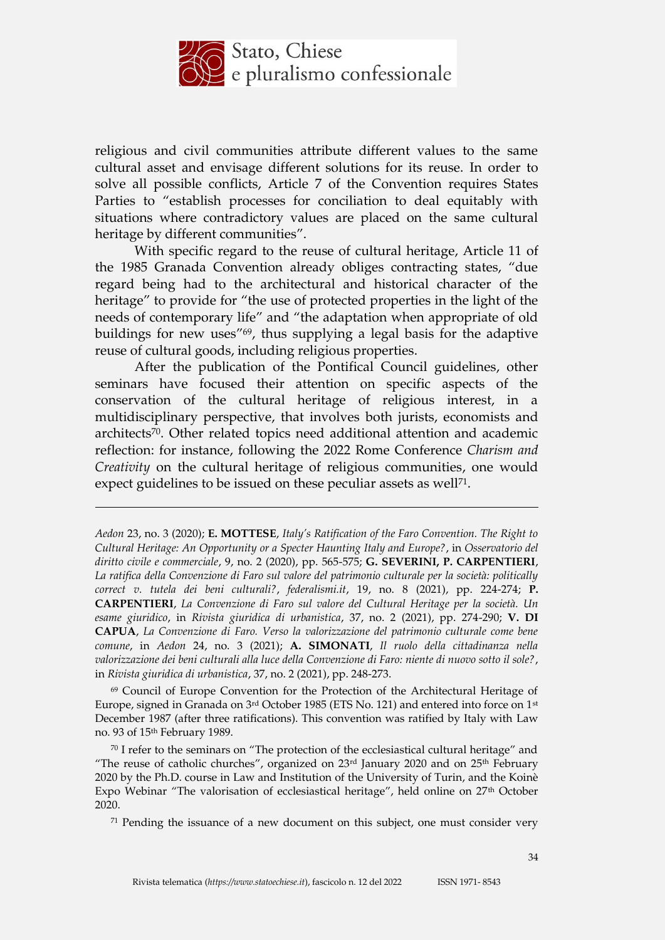

religious and civil communities attribute different values to the same cultural asset and envisage different solutions for its reuse. In order to solve all possible conflicts, Article 7 of the Convention requires States Parties to "establish processes for conciliation to deal equitably with situations where contradictory values are placed on the same cultural heritage by different communities".

With specific regard to the reuse of cultural heritage, Article 11 of the 1985 Granada Convention already obliges contracting states, "due regard being had to the architectural and historical character of the heritage" to provide for "the use of protected properties in the light of the needs of contemporary life" and "the adaptation when appropriate of old buildings for new uses"69, thus supplying a legal basis for the adaptive reuse of cultural goods, including religious properties.

After the publication of the Pontifical Council guidelines, other seminars have focused their attention on specific aspects of the conservation of the cultural heritage of religious interest, in a multidisciplinary perspective, that involves both jurists, economists and architects70. Other related topics need additional attention and academic reflection: for instance, following the 2022 Rome Conference *Charism and Creativity* on the cultural heritage of religious communities, one would expect guidelines to be issued on these peculiar assets as well<sup>71</sup>.

<u>.</u>

<sup>69</sup> Council of Europe Convention for the Protection of the Architectural Heritage of Europe, signed in Granada on 3rd October 1985 (ETS No. 121) and entered into force on 1st December 1987 (after three ratifications). This convention was ratified by Italy with Law no. 93 of 15th February 1989.

<sup>70</sup> I refer to the seminars on "The protection of the ecclesiastical cultural heritage" and "The reuse of catholic churches", organized on  $23<sup>rd</sup>$  January 2020 and on  $25<sup>th</sup>$  February 2020 by the Ph.D. course in Law and Institution of the University of Turin, and the Koinè Expo Webinar "The valorisation of ecclesiastical heritage", held online on 27th October 2020.

 $71$  Pending the issuance of a new document on this subject, one must consider very

*Aedon* 23, no. 3 (2020); **E. MOTTESE**, *Italy's Ratification of the Faro Convention. The Right to Cultural Heritage: An Opportunity or a Specter Haunting Italy and Europe?*, in *Osservatorio del diritto civile e commerciale*, 9, no. 2 (2020), pp. 565-575; **G. SEVERINI, P. CARPENTIERI**, *La ratifica della Convenzione di Faro sul valore del patrimonio culturale per la società: politically correct v. tutela dei beni culturali?*, *federalismi.it*, 19, no. 8 (2021), pp. 224-274; **P. CARPENTIERI**, *La Convenzione di Faro sul valore del Cultural Heritage per la società. Un esame giuridico*, in *Rivista giuridica di urbanistica*, 37, no. 2 (2021), pp. 274-290; **V. DI CAPUA**, *La Convenzione di Faro. Verso la valorizzazione del patrimonio culturale come bene comune*, in *Aedon* 24, no. 3 (2021); **A. SIMONATI**, *Il ruolo della cittadinanza nella valorizzazione dei beni culturali alla luce della Convenzione di Faro: niente di nuovo sotto il sole?*, in *Rivista giuridica di urbanistica*, 37, no. 2 (2021), pp. 248-273.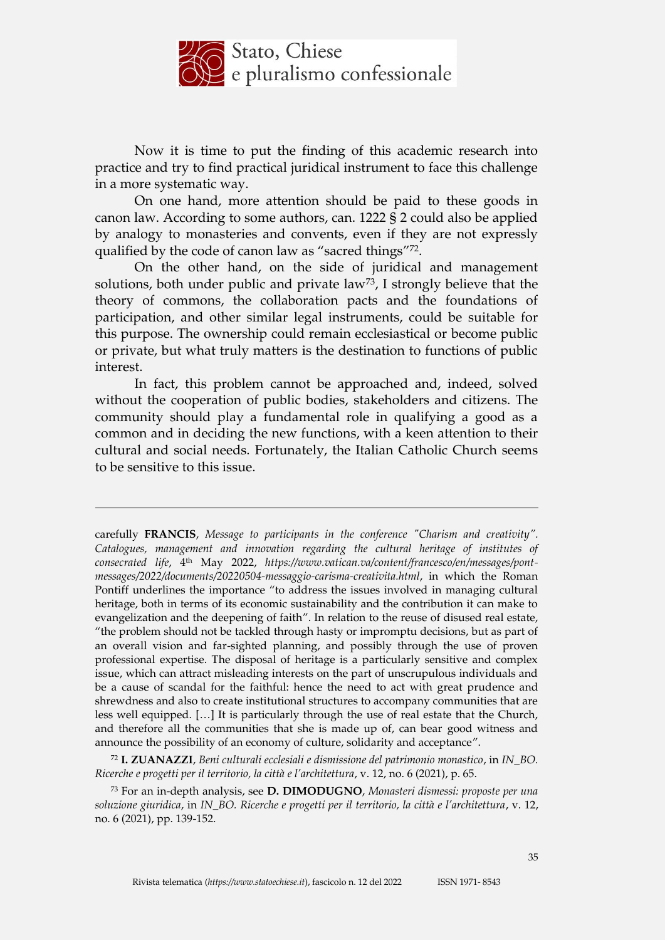

Now it is time to put the finding of this academic research into practice and try to find practical juridical instrument to face this challenge in a more systematic way.

On one hand, more attention should be paid to these goods in canon law. According to some authors, can. 1222 § 2 could also be applied by analogy to monasteries and convents, even if they are not expressly qualified by the code of canon law as "sacred things"72.

On the other hand, on the side of juridical and management solutions, both under public and private law<sup>73</sup>, I strongly believe that the theory of commons, the collaboration pacts and the foundations of participation, and other similar legal instruments, could be suitable for this purpose. The ownership could remain ecclesiastical or become public or private, but what truly matters is the destination to functions of public interest.

In fact, this problem cannot be approached and, indeed, solved without the cooperation of public bodies, stakeholders and citizens. The community should play a fundamental role in qualifying a good as a common and in deciding the new functions, with a keen attention to their cultural and social needs. Fortunately, the Italian Catholic Church seems to be sensitive to this issue.

<u>.</u>

carefully **FRANCIS**, *Message to participants in the conference "Charism and creativity".*  Catalogues, management and innovation regarding the cultural heritage of institutes of *consecrated life*, 4th May 2022, *https://www.vatican.va/content/francesco/en/messages/pontmessages/2022/documents/20220504-messaggio-carisma-creativita.html*, in which the Roman Pontiff underlines the importance "to address the issues involved in managing cultural heritage, both in terms of its economic sustainability and the contribution it can make to evangelization and the deepening of faith". In relation to the reuse of disused real estate, "the problem should not be tackled through hasty or impromptu decisions, but as part of an overall vision and far-sighted planning, and possibly through the use of proven professional expertise. The disposal of heritage is a particularly sensitive and complex issue, which can attract misleading interests on the part of unscrupulous individuals and be a cause of scandal for the faithful: hence the need to act with great prudence and shrewdness and also to create institutional structures to accompany communities that are less well equipped. […] It is particularly through the use of real estate that the Church, and therefore all the communities that she is made up of, can bear good witness and announce the possibility of an economy of culture, solidarity and acceptance".

<sup>72</sup> **I. ZUANAZZI**, *Beni culturali ecclesiali e dismissione del patrimonio monastico*, in *IN\_BO. Ricerche e progetti per il territorio, la città e l'architettura*, v. 12, no. 6 (2021), p. 65.

<sup>73</sup> For an in-depth analysis, see **D. DIMODUGNO**, *Monasteri dismessi: proposte per una soluzione giuridica*, in *IN\_BO. Ricerche e progetti per il territorio, la città e l'architettura*, v. 12, no. 6 (2021), pp. 139-152.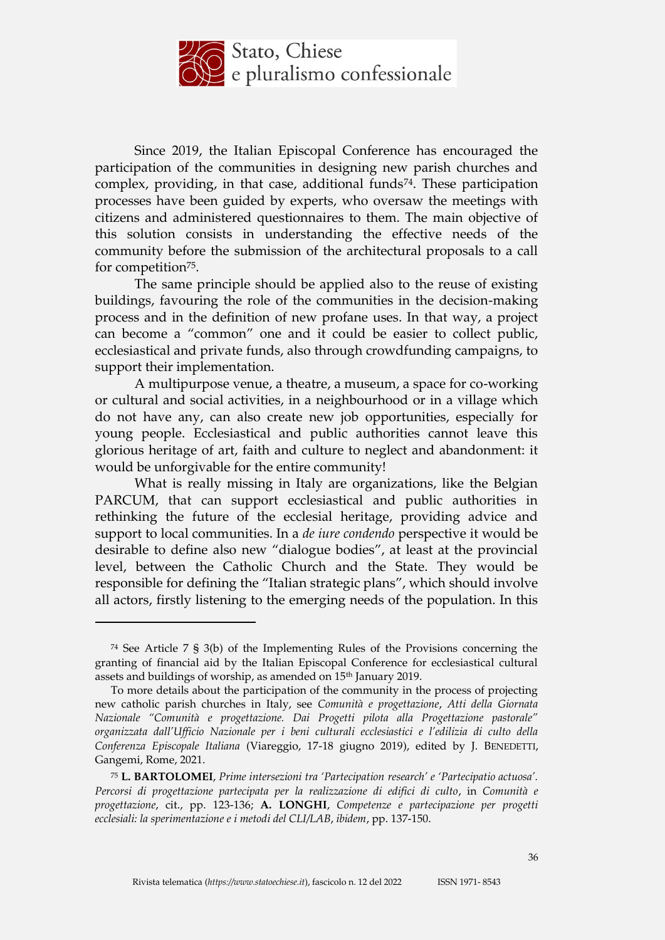

Since 2019, the Italian Episcopal Conference has encouraged the participation of the communities in designing new parish churches and complex, providing, in that case, additional funds<sup>74</sup>. These participation processes have been guided by experts, who oversaw the meetings with citizens and administered questionnaires to them. The main objective of this solution consists in understanding the effective needs of the community before the submission of the architectural proposals to a call for competition75.

The same principle should be applied also to the reuse of existing buildings, favouring the role of the communities in the decision-making process and in the definition of new profane uses. In that way, a project can become a "common" one and it could be easier to collect public, ecclesiastical and private funds, also through crowdfunding campaigns, to support their implementation.

A multipurpose venue, a theatre, a museum, a space for co-working or cultural and social activities, in a neighbourhood or in a village which do not have any, can also create new job opportunities, especially for young people. Ecclesiastical and public authorities cannot leave this glorious heritage of art, faith and culture to neglect and abandonment: it would be unforgivable for the entire community!

What is really missing in Italy are organizations, like the Belgian PARCUM, that can support ecclesiastical and public authorities in rethinking the future of the ecclesial heritage, providing advice and support to local communities. In a *de iure condendo* perspective it would be desirable to define also new "dialogue bodies", at least at the provincial level, between the Catholic Church and the State. They would be responsible for defining the "Italian strategic plans", which should involve all actors, firstly listening to the emerging needs of the population. In this

<sup>74</sup> See Article 7 § 3(b) of the Implementing Rules of the Provisions concerning the granting of financial aid by the Italian Episcopal Conference for ecclesiastical cultural assets and buildings of worship, as amended on 15th January 2019.

To more details about the participation of the community in the process of projecting new catholic parish churches in Italy, see *Comunità e progettazione*, *Atti della Giornata Nazionale "Comunità e progettazione. Dai Progetti pilota alla Progettazione pastorale" organizzata dall'Ufficio Nazionale per i beni culturali ecclesiastici e l'edilizia di culto della Conferenza Episcopale Italiana* (Viareggio, 17-18 giugno 2019), edited by J. BENEDETTI, Gangemi, Rome, 2021.

<sup>75</sup> **L. BARTOLOMEI**, *Prime intersezioni tra 'Partecipation research' e 'Partecipatio actuosa'. Percorsi di progettazione partecipata per la realizzazione di edifici di culto*, in *Comunità e progettazione*, cit., pp. 123-136; **A. LONGHI**, *Competenze e partecipazione per progetti ecclesiali: la sperimentazione e i metodi del CLI/LAB*, *ibidem*, pp. 137-150.